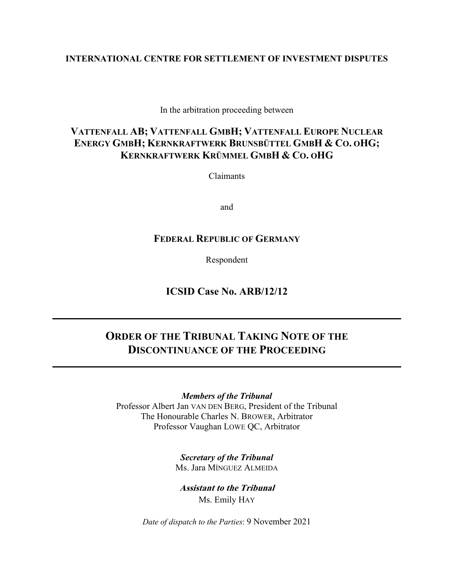### **INTERNATIONAL CENTRE FOR SETTLEMENT OF INVESTMENT DISPUTES**

In the arbitration proceeding between

# **VATTENFALL AB; VATTENFALL GMBH; VATTENFALL EUROPE NUCLEAR ENERGY GMBH; KERNKRAFTWERK BRUNSBÜTTEL GMBH & CO. OHG; KERNKRAFTWERK KRÜMMEL GMBH & CO. OHG**

Claimants

and

# **FEDERAL REPUBLIC OF GERMANY**

Respondent

**ICSID Case No. ARB/12/12**

# **ORDER OF THE TRIBUNAL TAKING NOTE OF THE DISCONTINUANCE OF THE PROCEEDING**

*Members of the Tribunal* Professor Albert Jan VAN DEN BERG, President of the Tribunal The Honourable Charles N. BROWER, Arbitrator Professor Vaughan LOWE QC, Arbitrator

> *Secretary of the Tribunal* Ms. Jara MÍNGUEZ ALMEIDA

**Assistant to the Tribunal** Ms. Emily HAY

*Date of dispatch to the Parties*: 9 November 2021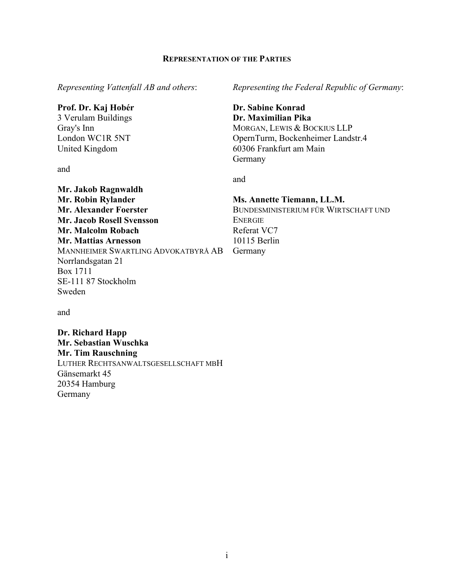### **REPRESENTATION OF THE PARTIES**

*Representing Vattenfall AB and others*:

### **Prof. Dr. Kaj Hobér**

3 Verulam Buildings Gray's Inn London WC1R 5NT United Kingdom

**Mr. Jakob Ragnwaldh Mr. Robin Rylander Mr. Alexander Foerster Mr. Jacob Rosell Svensson Mr. Malcolm Robach Mr. Mattias Arnesson**

Norrlandsgatan 21

SE-111 87 Stockholm

Box 1711

Sweden

and

*Representing the Federal Republic of Germany*:

**Dr. Sabine Konrad Dr. Maximilian Pika** MORGAN, LEWIS & BOCKIUS LLP OpernTurm, Bockenheimer Landstr.4 60306 Frankfurt am Main Germany

and

### **Ms. Annette Tiemann, LL.M.**

BUNDESMINISTERIUM FÜR WIRTSCHAFT UND ENERGIE Referat VC7 10115 Berlin Germany

and

**Dr. Richard Happ Mr. Sebastian Wuschka Mr. Tim Rauschning** LUTHER RECHTSANWALTSGESELLSCHAFT MBH Gänsemarkt 45 20354 Hamburg Germany

MANNHEIMER SWARTLING ADVOKATBYRÅ AB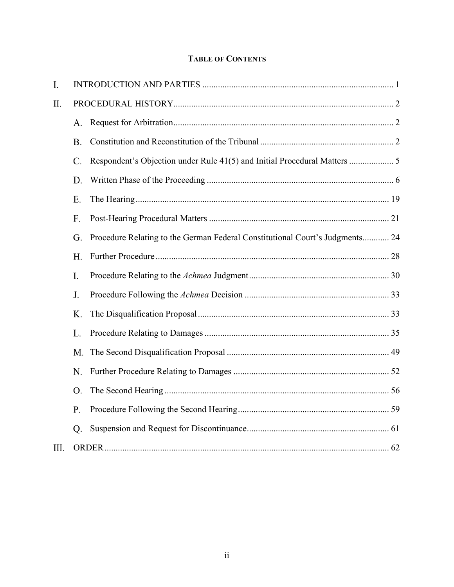# **TABLE OF CONTENTS**

| I.   |                 |                                                                              |  |
|------|-----------------|------------------------------------------------------------------------------|--|
| Π.   |                 |                                                                              |  |
|      | A.              |                                                                              |  |
|      | <b>B.</b>       |                                                                              |  |
|      | $\mathcal{C}$ . |                                                                              |  |
|      | D.              |                                                                              |  |
|      | E.              |                                                                              |  |
|      | F.              |                                                                              |  |
|      | G.              | Procedure Relating to the German Federal Constitutional Court's Judgments 24 |  |
|      | H.              |                                                                              |  |
|      | I.              |                                                                              |  |
|      | J.              |                                                                              |  |
|      | Κ.              |                                                                              |  |
|      | L.              |                                                                              |  |
|      | M.              |                                                                              |  |
|      | N.              |                                                                              |  |
|      | O.              |                                                                              |  |
|      | P.              |                                                                              |  |
|      | Q.              |                                                                              |  |
| III. |                 |                                                                              |  |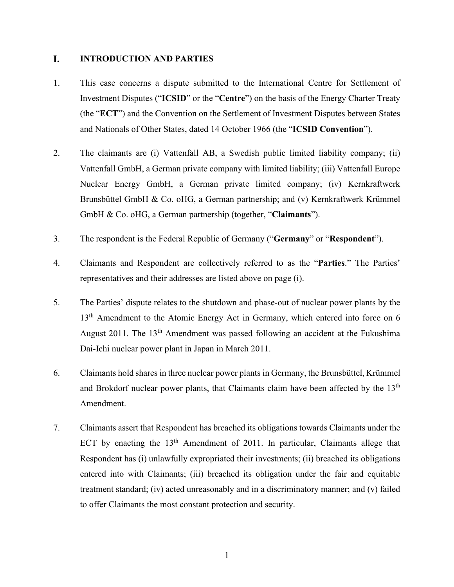#### <span id="page-3-0"></span>L. **INTRODUCTION AND PARTIES**

- 1. This case concerns a dispute submitted to the International Centre for Settlement of Investment Disputes ("**ICSID**" or the "**Centre**") on the basis of the Energy Charter Treaty (the "**ECT**") and the Convention on the Settlement of Investment Disputes between States and Nationals of Other States, dated 14 October 1966 (the "**ICSID Convention**").
- 2. The claimants are (i) Vattenfall AB, a Swedish public limited liability company; (ii) Vattenfall GmbH, a German private company with limited liability; (iii) Vattenfall Europe Nuclear Energy GmbH, a German private limited company; (iv) Kernkraftwerk Brunsbüttel GmbH & Co. oHG, a German partnership; and (v) Kernkraftwerk Krümmel GmbH & Co. oHG, a German partnership (together, "**Claimants**").
- 3. The respondent is the Federal Republic of Germany ("**Germany**" or "**Respondent**").
- 4. Claimants and Respondent are collectively referred to as the "**Parties**." The Parties' representatives and their addresses are listed above on page (i).
- 5. The Parties' dispute relates to the shutdown and phase-out of nuclear power plants by the 13<sup>th</sup> Amendment to the Atomic Energy Act in Germany, which entered into force on 6 August 2011. The  $13<sup>th</sup>$  Amendment was passed following an accident at the Fukushima Dai-Ichi nuclear power plant in Japan in March 2011.
- 6. Claimants hold shares in three nuclear power plants in Germany, the Brunsbüttel, Krümmel and Brokdorf nuclear power plants, that Claimants claim have been affected by the  $13<sup>th</sup>$ Amendment.
- 7. Claimants assert that Respondent has breached its obligations towards Claimants under the ECT by enacting the  $13<sup>th</sup>$  Amendment of 2011. In particular, Claimants allege that Respondent has (i) unlawfully expropriated their investments; (ii) breached its obligations entered into with Claimants; (iii) breached its obligation under the fair and equitable treatment standard; (iv) acted unreasonably and in a discriminatory manner; and (v) failed to offer Claimants the most constant protection and security.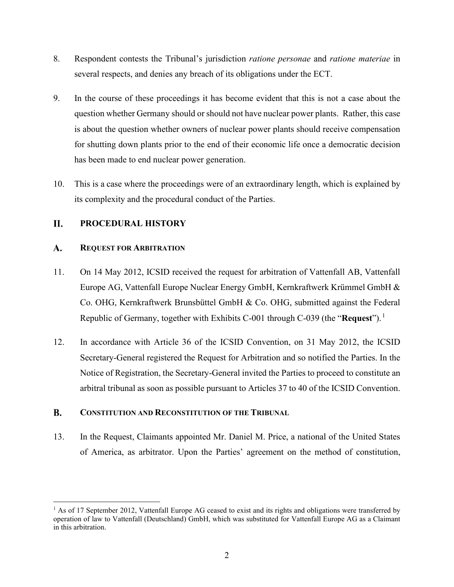- 8. Respondent contests the Tribunal's jurisdiction *ratione personae* and *ratione materiae* in several respects, and denies any breach of its obligations under the ECT.
- 9. In the course of these proceedings it has become evident that this is not a case about the question whether Germany should or should not have nuclear power plants. Rather, this case is about the question whether owners of nuclear power plants should receive compensation for shutting down plants prior to the end of their economic life once a democratic decision has been made to end nuclear power generation.
- 10. This is a case where the proceedings were of an extraordinary length, which is explained by its complexity and the procedural conduct of the Parties.

#### <span id="page-4-0"></span>**II. PROCEDURAL HISTORY**

#### <span id="page-4-1"></span> $\mathbf{A}$ . **REQUEST FOR ARBITRATION**

- 11. On 14 May 2012, ICSID received the request for arbitration of Vattenfall AB, Vattenfall Europe AG, Vattenfall Europe Nuclear Energy GmbH, Kernkraftwerk Krümmel GmbH & Co. OHG, Kernkraftwerk Brunsbüttel GmbH & Co. OHG, submitted against the Federal Republic of Germany, together with Exhibits C-001 through C-039 (the "**Request**"). [1](#page-4-3)
- 12. In accordance with Article 36 of the ICSID Convention, on 31 May 2012, the ICSID Secretary-General registered the Request for Arbitration and so notified the Parties. In the Notice of Registration, the Secretary-General invited the Parties to proceed to constitute an arbitral tribunal as soon as possible pursuant to Articles 37 to 40 of the ICSID Convention.

#### <span id="page-4-2"></span>**B. CONSTITUTION AND RECONSTITUTION OF THE TRIBUNAL**

13. In the Request, Claimants appointed Mr. Daniel M. Price, a national of the United States of America, as arbitrator. Upon the Parties' agreement on the method of constitution,

<span id="page-4-3"></span><sup>&</sup>lt;sup>1</sup> As of 17 September 2012, Vattenfall Europe AG ceased to exist and its rights and obligations were transferred by operation of law to Vattenfall (Deutschland) GmbH, which was substituted for Vattenfall Europe AG as a Claimant in this arbitration.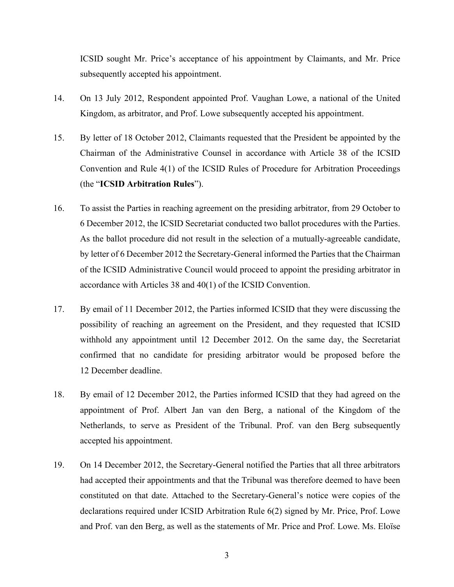ICSID sought Mr. Price's acceptance of his appointment by Claimants, and Mr. Price subsequently accepted his appointment.

- 14. On 13 July 2012, Respondent appointed Prof. Vaughan Lowe, a national of the United Kingdom, as arbitrator, and Prof. Lowe subsequently accepted his appointment.
- 15. By letter of 18 October 2012, Claimants requested that the President be appointed by the Chairman of the Administrative Counsel in accordance with Article 38 of the ICSID Convention and Rule 4(1) of the ICSID Rules of Procedure for Arbitration Proceedings (the "**ICSID Arbitration Rules**").
- 16. To assist the Parties in reaching agreement on the presiding arbitrator, from 29 October to 6 December 2012, the ICSID Secretariat conducted two ballot procedures with the Parties. As the ballot procedure did not result in the selection of a mutually-agreeable candidate, by letter of 6 December 2012 the Secretary-General informed the Parties that the Chairman of the ICSID Administrative Council would proceed to appoint the presiding arbitrator in accordance with Articles 38 and 40(1) of the ICSID Convention.
- 17. By email of 11 December 2012, the Parties informed ICSID that they were discussing the possibility of reaching an agreement on the President, and they requested that ICSID withhold any appointment until 12 December 2012. On the same day, the Secretariat confirmed that no candidate for presiding arbitrator would be proposed before the 12 December deadline.
- 18. By email of 12 December 2012, the Parties informed ICSID that they had agreed on the appointment of Prof. Albert Jan van den Berg, a national of the Kingdom of the Netherlands, to serve as President of the Tribunal. Prof. van den Berg subsequently accepted his appointment.
- 19. On 14 December 2012, the Secretary-General notified the Parties that all three arbitrators had accepted their appointments and that the Tribunal was therefore deemed to have been constituted on that date. Attached to the Secretary-General's notice were copies of the declarations required under ICSID Arbitration Rule 6(2) signed by Mr. Price, Prof. Lowe and Prof. van den Berg, as well as the statements of Mr. Price and Prof. Lowe. Ms. Eloïse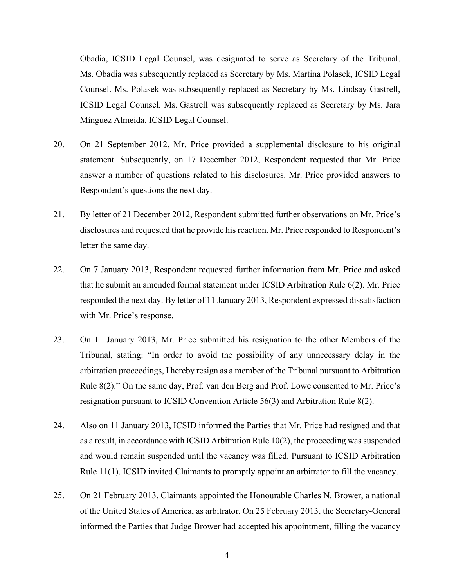Obadia, ICSID Legal Counsel, was designated to serve as Secretary of the Tribunal. Ms. Obadia was subsequently replaced as Secretary by Ms. Martina Polasek, ICSID Legal Counsel. Ms. Polasek was subsequently replaced as Secretary by Ms. Lindsay Gastrell, ICSID Legal Counsel. Ms. Gastrell was subsequently replaced as Secretary by Ms. Jara Mínguez Almeida, ICSID Legal Counsel.

- 20. On 21 September 2012, Mr. Price provided a supplemental disclosure to his original statement. Subsequently, on 17 December 2012, Respondent requested that Mr. Price answer a number of questions related to his disclosures. Mr. Price provided answers to Respondent's questions the next day.
- 21. By letter of 21 December 2012, Respondent submitted further observations on Mr. Price's disclosures and requested that he provide his reaction. Mr. Price responded to Respondent's letter the same day.
- 22. On 7 January 2013, Respondent requested further information from Mr. Price and asked that he submit an amended formal statement under ICSID Arbitration Rule 6(2). Mr. Price responded the next day. By letter of 11 January 2013, Respondent expressed dissatisfaction with Mr. Price's response.
- 23. On 11 January 2013, Mr. Price submitted his resignation to the other Members of the Tribunal, stating: "In order to avoid the possibility of any unnecessary delay in the arbitration proceedings, I hereby resign as a member of the Tribunal pursuant to Arbitration Rule 8(2)." On the same day, Prof. van den Berg and Prof. Lowe consented to Mr. Price's resignation pursuant to ICSID Convention Article 56(3) and Arbitration Rule 8(2).
- 24. Also on 11 January 2013, ICSID informed the Parties that Mr. Price had resigned and that as a result, in accordance with ICSID Arbitration Rule 10(2), the proceeding was suspended and would remain suspended until the vacancy was filled. Pursuant to ICSID Arbitration Rule 11(1), ICSID invited Claimants to promptly appoint an arbitrator to fill the vacancy.
- 25. On 21 February 2013, Claimants appointed the Honourable Charles N. Brower, a national of the United States of America, as arbitrator. On 25 February 2013, the Secretary-General informed the Parties that Judge Brower had accepted his appointment, filling the vacancy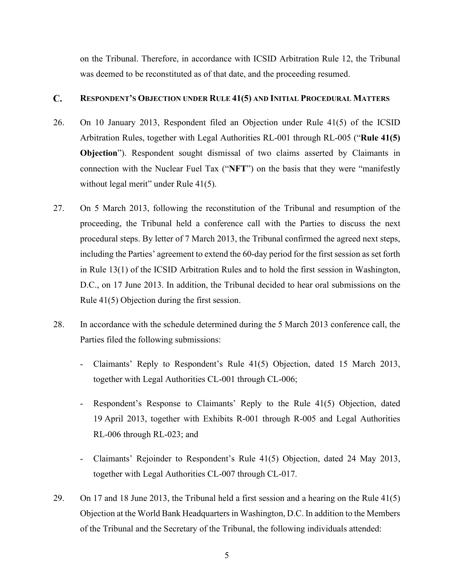on the Tribunal. Therefore, in accordance with ICSID Arbitration Rule 12, the Tribunal was deemed to be reconstituted as of that date, and the proceeding resumed.

#### <span id="page-7-0"></span> $\mathbf{C}$ . **RESPONDENT'S OBJECTION UNDER RULE 41(5) AND INITIAL PROCEDURAL MATTERS**

- 26. On 10 January 2013, Respondent filed an Objection under Rule 41(5) of the ICSID Arbitration Rules, together with Legal Authorities RL-001 through RL-005 ("**Rule 41(5) Objection**"). Respondent sought dismissal of two claims asserted by Claimants in connection with the Nuclear Fuel Tax ("**NFT**") on the basis that they were "manifestly without legal merit" under Rule 41(5).
- 27. On 5 March 2013, following the reconstitution of the Tribunal and resumption of the proceeding, the Tribunal held a conference call with the Parties to discuss the next procedural steps. By letter of 7 March 2013, the Tribunal confirmed the agreed next steps, including the Parties' agreement to extend the 60-day period for the first session as set forth in Rule 13(1) of the ICSID Arbitration Rules and to hold the first session in Washington, D.C., on 17 June 2013. In addition, the Tribunal decided to hear oral submissions on the Rule 41(5) Objection during the first session.
- 28. In accordance with the schedule determined during the 5 March 2013 conference call, the Parties filed the following submissions:
	- Claimants' Reply to Respondent's Rule 41(5) Objection, dated 15 March 2013, together with Legal Authorities CL-001 through CL-006;
	- Respondent's Response to Claimants' Reply to the Rule 41(5) Objection, dated 19 April 2013, together with Exhibits R-001 through R-005 and Legal Authorities RL-006 through RL-023; and
	- Claimants' Rejoinder to Respondent's Rule 41(5) Objection, dated 24 May 2013, together with Legal Authorities CL-007 through CL-017.
- 29. On 17 and 18 June 2013, the Tribunal held a first session and a hearing on the Rule 41(5) Objection at the World Bank Headquarters in Washington, D.C. In addition to the Members of the Tribunal and the Secretary of the Tribunal, the following individuals attended: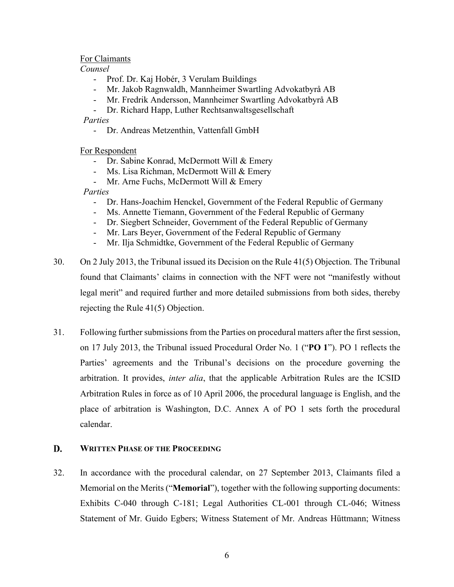### For Claimants

*Counsel*

- Prof. Dr. Kaj Hobér, 3 Verulam Buildings
- Mr. Jakob Ragnwaldh, Mannheimer Swartling Advokatbyrå AB
- Mr. Fredrik Andersson, Mannheimer Swartling Advokatbyrå AB
- Dr. Richard Happ, Luther Rechtsanwaltsgesellschaft

*Parties*

- Dr. Andreas Metzenthin, Vattenfall GmbH

For Respondent

- Dr. Sabine Konrad, McDermott Will & Emery
- Ms. Lisa Richman, McDermott Will & Emery
- Mr. Arne Fuchs, McDermott Will & Emery

*Parties*

- Dr. Hans-Joachim Henckel, Government of the Federal Republic of Germany
- Ms. Annette Tiemann, Government of the Federal Republic of Germany
- Dr. Siegbert Schneider, Government of the Federal Republic of Germany
- Mr. Lars Beyer, Government of the Federal Republic of Germany
- Mr. Ilja Schmidtke, Government of the Federal Republic of Germany
- 30. On 2 July 2013, the Tribunal issued its Decision on the Rule 41(5) Objection. The Tribunal found that Claimants' claims in connection with the NFT were not "manifestly without legal merit" and required further and more detailed submissions from both sides, thereby rejecting the Rule 41(5) Objection.
- 31. Following further submissions from the Parties on procedural matters after the first session, on 17 July 2013, the Tribunal issued Procedural Order No. 1 ("**PO 1**"). PO 1 reflects the Parties' agreements and the Tribunal's decisions on the procedure governing the arbitration. It provides, *inter alia*, that the applicable Arbitration Rules are the ICSID Arbitration Rules in force as of 10 April 2006, the procedural language is English, and the place of arbitration is Washington, D.C. Annex A of PO 1 sets forth the procedural calendar.

#### <span id="page-8-0"></span>D. **WRITTEN PHASE OF THE PROCEEDING**

32. In accordance with the procedural calendar, on 27 September 2013, Claimants filed a Memorial on the Merits ("**Memorial**"), together with the following supporting documents: Exhibits C-040 through C-181; Legal Authorities CL-001 through CL-046; Witness Statement of Mr. Guido Egbers; Witness Statement of Mr. Andreas Hüttmann; Witness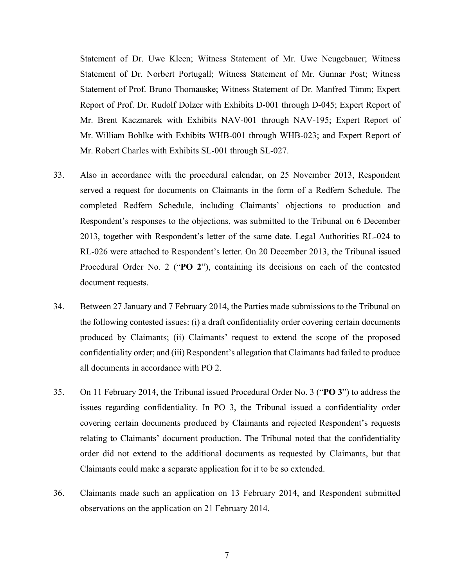Statement of Dr. Uwe Kleen; Witness Statement of Mr. Uwe Neugebauer; Witness Statement of Dr. Norbert Portugall; Witness Statement of Mr. Gunnar Post; Witness Statement of Prof. Bruno Thomauske; Witness Statement of Dr. Manfred Timm; Expert Report of Prof. Dr. Rudolf Dolzer with Exhibits D-001 through D-045; Expert Report of Mr. Brent Kaczmarek with Exhibits NAV-001 through NAV-195; Expert Report of Mr. William Bohlke with Exhibits WHB-001 through WHB-023; and Expert Report of Mr. Robert Charles with Exhibits SL-001 through SL-027.

- 33. Also in accordance with the procedural calendar, on 25 November 2013, Respondent served a request for documents on Claimants in the form of a Redfern Schedule. The completed Redfern Schedule, including Claimants' objections to production and Respondent's responses to the objections, was submitted to the Tribunal on 6 December 2013, together with Respondent's letter of the same date. Legal Authorities RL-024 to RL-026 were attached to Respondent's letter. On 20 December 2013, the Tribunal issued Procedural Order No. 2 ("**PO 2**"), containing its decisions on each of the contested document requests.
- 34. Between 27 January and 7 February 2014, the Parties made submissions to the Tribunal on the following contested issues: (i) a draft confidentiality order covering certain documents produced by Claimants; (ii) Claimants' request to extend the scope of the proposed confidentiality order; and (iii) Respondent's allegation that Claimants had failed to produce all documents in accordance with PO 2.
- 35. On 11 February 2014, the Tribunal issued Procedural Order No. 3 ("**PO 3**") to address the issues regarding confidentiality. In PO 3, the Tribunal issued a confidentiality order covering certain documents produced by Claimants and rejected Respondent's requests relating to Claimants' document production. The Tribunal noted that the confidentiality order did not extend to the additional documents as requested by Claimants, but that Claimants could make a separate application for it to be so extended.
- 36. Claimants made such an application on 13 February 2014, and Respondent submitted observations on the application on 21 February 2014.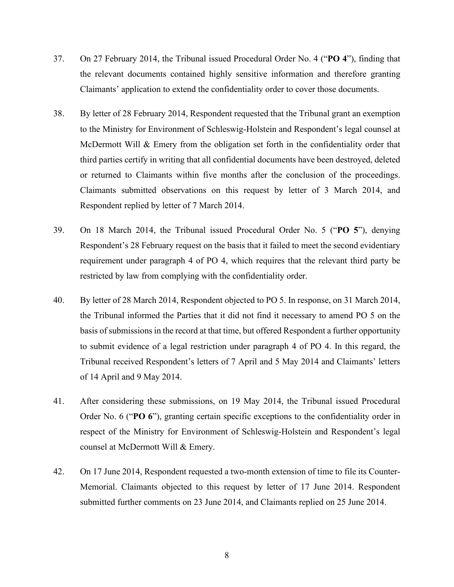- 37. On 27 February 2014, the Tribunal issued Procedural Order No. 4 ("**PO 4**"), finding that the relevant documents contained highly sensitive information and therefore granting Claimants' application to extend the confidentiality order to cover those documents.
- 38. By letter of 28 February 2014, Respondent requested that the Tribunal grant an exemption to the Ministry for Environment of Schleswig-Holstein and Respondent's legal counsel at McDermott Will & Emery from the obligation set forth in the confidentiality order that third parties certify in writing that all confidential documents have been destroyed, deleted or returned to Claimants within five months after the conclusion of the proceedings. Claimants submitted observations on this request by letter of 3 March 2014, and Respondent replied by letter of 7 March 2014.
- 39. On 18 March 2014, the Tribunal issued Procedural Order No. 5 ("**PO 5**"), denying Respondent's 28 February request on the basis that it failed to meet the second evidentiary requirement under paragraph 4 of PO 4, which requires that the relevant third party be restricted by law from complying with the confidentiality order.
- 40. By letter of 28 March 2014, Respondent objected to PO 5. In response, on 31 March 2014, the Tribunal informed the Parties that it did not find it necessary to amend PO 5 on the basis of submissions in the record at that time, but offered Respondent a further opportunity to submit evidence of a legal restriction under paragraph 4 of PO 4. In this regard, the Tribunal received Respondent's letters of 7 April and 5 May 2014 and Claimants' letters of 14 April and 9 May 2014.
- 41. After considering these submissions, on 19 May 2014, the Tribunal issued Procedural Order No. 6 ("**PO 6**"), granting certain specific exceptions to the confidentiality order in respect of the Ministry for Environment of Schleswig-Holstein and Respondent's legal counsel at McDermott Will & Emery.
- 42. On 17 June 2014, Respondent requested a two-month extension of time to file its Counter-Memorial. Claimants objected to this request by letter of 17 June 2014. Respondent submitted further comments on 23 June 2014, and Claimants replied on 25 June 2014.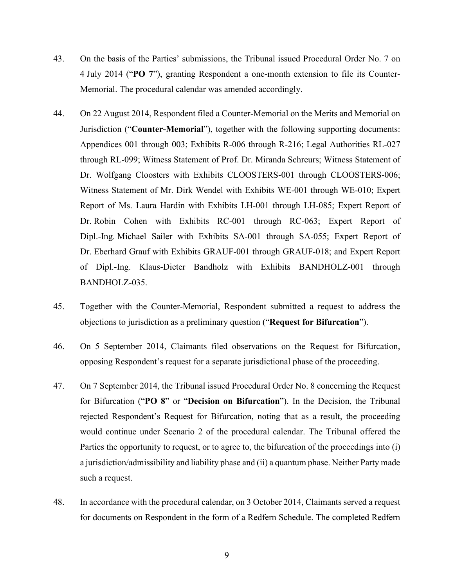- 43. On the basis of the Parties' submissions, the Tribunal issued Procedural Order No. 7 on 4 July 2014 ("**PO 7**"), granting Respondent a one-month extension to file its Counter-Memorial. The procedural calendar was amended accordingly.
- 44. On 22 August 2014, Respondent filed a Counter-Memorial on the Merits and Memorial on Jurisdiction ("**Counter-Memorial**"), together with the following supporting documents: Appendices 001 through 003; Exhibits R-006 through R-216; Legal Authorities RL-027 through RL-099; Witness Statement of Prof. Dr. Miranda Schreurs; Witness Statement of Dr. Wolfgang Cloosters with Exhibits CLOOSTERS-001 through CLOOSTERS-006; Witness Statement of Mr. Dirk Wendel with Exhibits WE-001 through WE-010; Expert Report of Ms. Laura Hardin with Exhibits LH-001 through LH-085; Expert Report of Dr. Robin Cohen with Exhibits RC-001 through RC-063; Expert Report of Dipl.-Ing. Michael Sailer with Exhibits SA-001 through SA-055; Expert Report of Dr. Eberhard Grauf with Exhibits GRAUF-001 through GRAUF-018; and Expert Report of Dipl.-Ing. Klaus-Dieter Bandholz with Exhibits BANDHOLZ-001 through BANDHOLZ-035.
- 45. Together with the Counter-Memorial, Respondent submitted a request to address the objections to jurisdiction as a preliminary question ("**Request for Bifurcation**").
- 46. On 5 September 2014, Claimants filed observations on the Request for Bifurcation, opposing Respondent's request for a separate jurisdictional phase of the proceeding.
- 47. On 7 September 2014, the Tribunal issued Procedural Order No. 8 concerning the Request for Bifurcation ("**PO 8**" or "**Decision on Bifurcation**"). In the Decision, the Tribunal rejected Respondent's Request for Bifurcation, noting that as a result, the proceeding would continue under Scenario 2 of the procedural calendar. The Tribunal offered the Parties the opportunity to request, or to agree to, the bifurcation of the proceedings into (i) a jurisdiction/admissibility and liability phase and (ii) a quantum phase. Neither Party made such a request.
- 48. In accordance with the procedural calendar, on 3 October 2014, Claimants served a request for documents on Respondent in the form of a Redfern Schedule. The completed Redfern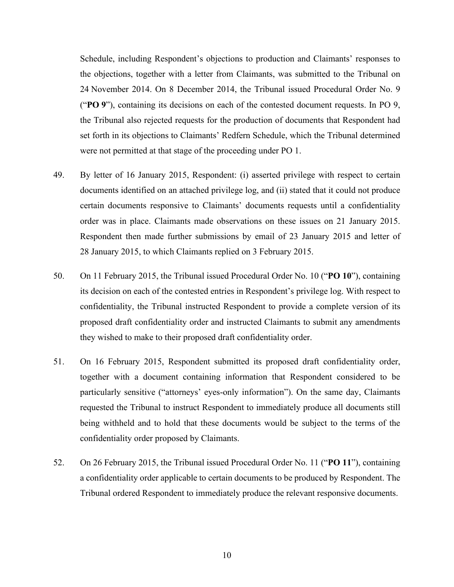Schedule, including Respondent's objections to production and Claimants' responses to the objections, together with a letter from Claimants, was submitted to the Tribunal on 24 November 2014. On 8 December 2014, the Tribunal issued Procedural Order No. 9 ("**PO 9**"), containing its decisions on each of the contested document requests. In PO 9, the Tribunal also rejected requests for the production of documents that Respondent had set forth in its objections to Claimants' Redfern Schedule, which the Tribunal determined were not permitted at that stage of the proceeding under PO 1.

- 49. By letter of 16 January 2015, Respondent: (i) asserted privilege with respect to certain documents identified on an attached privilege log, and (ii) stated that it could not produce certain documents responsive to Claimants' documents requests until a confidentiality order was in place. Claimants made observations on these issues on 21 January 2015. Respondent then made further submissions by email of 23 January 2015 and letter of 28 January 2015, to which Claimants replied on 3 February 2015.
- 50. On 11 February 2015, the Tribunal issued Procedural Order No. 10 ("**PO 10**"), containing its decision on each of the contested entries in Respondent's privilege log. With respect to confidentiality, the Tribunal instructed Respondent to provide a complete version of its proposed draft confidentiality order and instructed Claimants to submit any amendments they wished to make to their proposed draft confidentiality order.
- 51. On 16 February 2015, Respondent submitted its proposed draft confidentiality order, together with a document containing information that Respondent considered to be particularly sensitive ("attorneys' eyes-only information"). On the same day, Claimants requested the Tribunal to instruct Respondent to immediately produce all documents still being withheld and to hold that these documents would be subject to the terms of the confidentiality order proposed by Claimants.
- 52. On 26 February 2015, the Tribunal issued Procedural Order No. 11 ("**PO 11**"), containing a confidentiality order applicable to certain documents to be produced by Respondent. The Tribunal ordered Respondent to immediately produce the relevant responsive documents.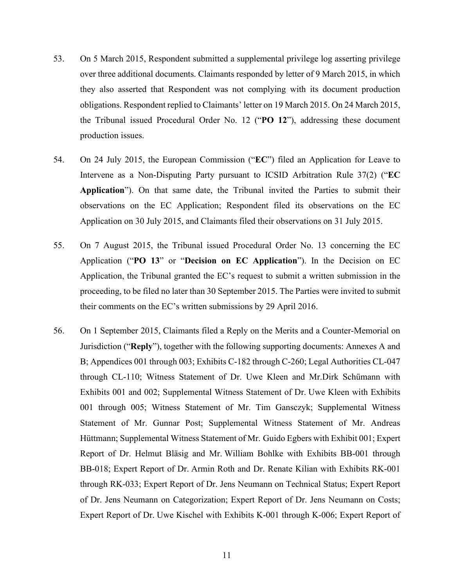- 53. On 5 March 2015, Respondent submitted a supplemental privilege log asserting privilege over three additional documents. Claimants responded by letter of 9 March 2015, in which they also asserted that Respondent was not complying with its document production obligations. Respondent replied to Claimants' letter on 19 March 2015. On 24 March 2015, the Tribunal issued Procedural Order No. 12 ("**PO 12**"), addressing these document production issues.
- 54. On 24 July 2015, the European Commission ("**EC**") filed an Application for Leave to Intervene as a Non-Disputing Party pursuant to ICSID Arbitration Rule 37(2) ("**EC Application**"). On that same date, the Tribunal invited the Parties to submit their observations on the EC Application; Respondent filed its observations on the EC Application on 30 July 2015, and Claimants filed their observations on 31 July 2015.
- 55. On 7 August 2015, the Tribunal issued Procedural Order No. 13 concerning the EC Application ("**PO 13**" or "**Decision on EC Application**"). In the Decision on EC Application, the Tribunal granted the EC's request to submit a written submission in the proceeding, to be filed no later than 30 September 2015. The Parties were invited to submit their comments on the EC's written submissions by 29 April 2016.
- 56. On 1 September 2015, Claimants filed a Reply on the Merits and a Counter-Memorial on Jurisdiction ("**Reply**"), together with the following supporting documents: Annexes A and B; Appendices 001 through 003; Exhibits C-182 through C-260; Legal Authorities CL-047 through CL-110; Witness Statement of Dr. Uwe Kleen and Mr.Dirk Schümann with Exhibits 001 and 002; Supplemental Witness Statement of Dr. Uwe Kleen with Exhibits 001 through 005; Witness Statement of Mr. Tim Gansczyk; Supplemental Witness Statement of Mr. Gunnar Post; Supplemental Witness Statement of Mr. Andreas Hüttmann; Supplemental Witness Statement of Mr. Guido Egbers with Exhibit 001; Expert Report of Dr. Helmut Bläsig and Mr. William Bohlke with Exhibits BB-001 through BB-018; Expert Report of Dr. Armin Roth and Dr. Renate Kilian with Exhibits RK-001 through RK-033; Expert Report of Dr. Jens Neumann on Technical Status; Expert Report of Dr. Jens Neumann on Categorization; Expert Report of Dr. Jens Neumann on Costs; Expert Report of Dr. Uwe Kischel with Exhibits K-001 through K-006; Expert Report of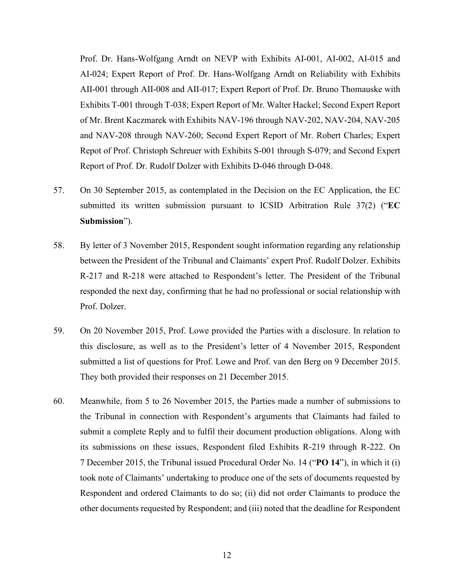Prof. Dr. Hans-Wolfgang Arndt on NEVP with Exhibits AI-001, AI-002, AI-015 and AI-024; Expert Report of Prof. Dr. Hans-Wolfgang Arndt on Reliability with Exhibits AII-001 through AII-008 and AII-017; Expert Report of Prof. Dr. Bruno Thomauske with Exhibits T-001 through T-038; Expert Report of Mr. Walter Hackel; Second Expert Report of Mr. Brent Kaczmarek with Exhibits NAV-196 through NAV-202, NAV-204, NAV-205 and NAV-208 through NAV-260; Second Expert Report of Mr. Robert Charles; Expert Repot of Prof. Christoph Schreuer with Exhibits S-001 through S-079; and Second Expert Report of Prof. Dr. Rudolf Dolzer with Exhibits D-046 through D-048.

- 57. On 30 September 2015, as contemplated in the Decision on the EC Application, the EC submitted its written submission pursuant to ICSID Arbitration Rule 37(2) ("**EC Submission**").
- 58. By letter of 3 November 2015, Respondent sought information regarding any relationship between the President of the Tribunal and Claimants' expert Prof. Rudolf Dolzer. Exhibits R-217 and R-218 were attached to Respondent's letter. The President of the Tribunal responded the next day, confirming that he had no professional or social relationship with Prof. Dolzer.
- 59. On 20 November 2015, Prof. Lowe provided the Parties with a disclosure. In relation to this disclosure, as well as to the President's letter of 4 November 2015, Respondent submitted a list of questions for Prof. Lowe and Prof. van den Berg on 9 December 2015. They both provided their responses on 21 December 2015.
- 60. Meanwhile, from 5 to 26 November 2015, the Parties made a number of submissions to the Tribunal in connection with Respondent's arguments that Claimants had failed to submit a complete Reply and to fulfil their document production obligations. Along with its submissions on these issues, Respondent filed Exhibits R-219 through R-222. On 7 December 2015, the Tribunal issued Procedural Order No. 14 ("**PO 14**"), in which it (i) took note of Claimants' undertaking to produce one of the sets of documents requested by Respondent and ordered Claimants to do so; (ii) did not order Claimants to produce the other documents requested by Respondent; and (iii) noted that the deadline for Respondent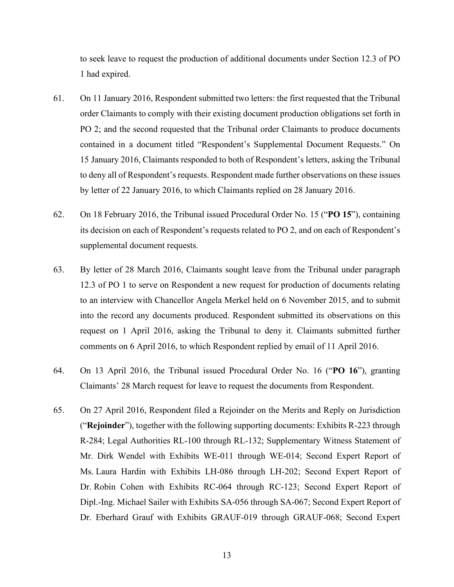to seek leave to request the production of additional documents under Section 12.3 of PO 1 had expired.

- 61. On 11 January 2016, Respondent submitted two letters: the first requested that the Tribunal order Claimants to comply with their existing document production obligations set forth in PO 2; and the second requested that the Tribunal order Claimants to produce documents contained in a document titled "Respondent's Supplemental Document Requests." On 15 January 2016, Claimants responded to both of Respondent's letters, asking the Tribunal to deny all of Respondent's requests. Respondent made further observations on these issues by letter of 22 January 2016, to which Claimants replied on 28 January 2016.
- 62. On 18 February 2016, the Tribunal issued Procedural Order No. 15 ("**PO 15**"), containing its decision on each of Respondent's requests related to PO 2, and on each of Respondent's supplemental document requests.
- 63. By letter of 28 March 2016, Claimants sought leave from the Tribunal under paragraph 12.3 of PO 1 to serve on Respondent a new request for production of documents relating to an interview with Chancellor Angela Merkel held on 6 November 2015, and to submit into the record any documents produced. Respondent submitted its observations on this request on 1 April 2016, asking the Tribunal to deny it. Claimants submitted further comments on 6 April 2016, to which Respondent replied by email of 11 April 2016.
- 64. On 13 April 2016, the Tribunal issued Procedural Order No. 16 ("**PO 16**"), granting Claimants' 28 March request for leave to request the documents from Respondent.
- 65. On 27 April 2016, Respondent filed a Rejoinder on the Merits and Reply on Jurisdiction ("**Rejoinder**"), together with the following supporting documents: Exhibits R-223 through R-284; Legal Authorities RL-100 through RL-132; Supplementary Witness Statement of Mr. Dirk Wendel with Exhibits WE-011 through WE-014; Second Expert Report of Ms. Laura Hardin with Exhibits LH-086 through LH-202; Second Expert Report of Dr. Robin Cohen with Exhibits RC-064 through RC-123; Second Expert Report of Dipl.-Ing. Michael Sailer with Exhibits SA-056 through SA-067; Second Expert Report of Dr. Eberhard Grauf with Exhibits GRAUF-019 through GRAUF-068; Second Expert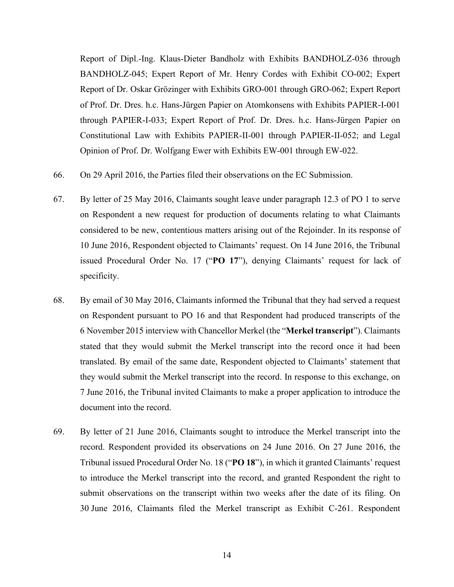Report of Dipl.-Ing. Klaus-Dieter Bandholz with Exhibits BANDHOLZ-036 through BANDHOLZ-045; Expert Report of Mr. Henry Cordes with Exhibit CO-002; Expert Report of Dr. Oskar Grözinger with Exhibits GRO-001 through GRO-062; Expert Report of Prof. Dr. Dres. h.c. Hans-Jürgen Papier on Atomkonsens with Exhibits PAPIER-I-001 through PAPIER-I-033; Expert Report of Prof. Dr. Dres. h.c. Hans-Jürgen Papier on Constitutional Law with Exhibits PAPIER-II-001 through PAPIER-II-052; and Legal Opinion of Prof. Dr. Wolfgang Ewer with Exhibits EW-001 through EW-022.

- 66. On 29 April 2016, the Parties filed their observations on the EC Submission.
- 67. By letter of 25 May 2016, Claimants sought leave under paragraph 12.3 of PO 1 to serve on Respondent a new request for production of documents relating to what Claimants considered to be new, contentious matters arising out of the Rejoinder. In its response of 10 June 2016, Respondent objected to Claimants' request. On 14 June 2016, the Tribunal issued Procedural Order No. 17 ("**PO 17**"), denying Claimants' request for lack of specificity.
- 68. By email of 30 May 2016, Claimants informed the Tribunal that they had served a request on Respondent pursuant to PO 16 and that Respondent had produced transcripts of the 6 November 2015 interview with Chancellor Merkel (the "**Merkel transcript**"). Claimants stated that they would submit the Merkel transcript into the record once it had been translated. By email of the same date, Respondent objected to Claimants' statement that they would submit the Merkel transcript into the record. In response to this exchange, on 7 June 2016, the Tribunal invited Claimants to make a proper application to introduce the document into the record.
- 69. By letter of 21 June 2016, Claimants sought to introduce the Merkel transcript into the record. Respondent provided its observations on 24 June 2016. On 27 June 2016, the Tribunal issued Procedural Order No. 18 ("**PO 18**"), in which it granted Claimants' request to introduce the Merkel transcript into the record, and granted Respondent the right to submit observations on the transcript within two weeks after the date of its filing. On 30 June 2016, Claimants filed the Merkel transcript as Exhibit C-261. Respondent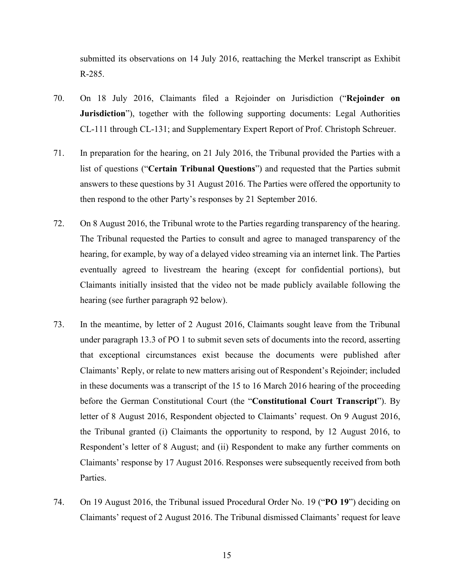submitted its observations on 14 July 2016, reattaching the Merkel transcript as Exhibit R-285.

- 70. On 18 July 2016, Claimants filed a Rejoinder on Jurisdiction ("**Rejoinder on Jurisdiction**"), together with the following supporting documents: Legal Authorities CL-111 through CL-131; and Supplementary Expert Report of Prof. Christoph Schreuer.
- 71. In preparation for the hearing, on 21 July 2016, the Tribunal provided the Parties with a list of questions ("**Certain Tribunal Questions**") and requested that the Parties submit answers to these questions by 31 August 2016. The Parties were offered the opportunity to then respond to the other Party's responses by 21 September 2016.
- 72. On 8 August 2016, the Tribunal wrote to the Parties regarding transparency of the hearing. The Tribunal requested the Parties to consult and agree to managed transparency of the hearing, for example, by way of a delayed video streaming via an internet link. The Parties eventually agreed to livestream the hearing (except for confidential portions), but Claimants initially insisted that the video not be made publicly available following the hearing (see further paragraph [92](#page-23-1) below).
- 73. In the meantime, by letter of 2 August 2016, Claimants sought leave from the Tribunal under paragraph 13.3 of PO 1 to submit seven sets of documents into the record, asserting that exceptional circumstances exist because the documents were published after Claimants' Reply, or relate to new matters arising out of Respondent's Rejoinder; included in these documents was a transcript of the 15 to 16 March 2016 hearing of the proceeding before the German Constitutional Court (the "**Constitutional Court Transcript**"). By letter of 8 August 2016, Respondent objected to Claimants' request. On 9 August 2016, the Tribunal granted (i) Claimants the opportunity to respond, by 12 August 2016, to Respondent's letter of 8 August; and (ii) Respondent to make any further comments on Claimants' response by 17 August 2016. Responses were subsequently received from both Parties.
- 74. On 19 August 2016, the Tribunal issued Procedural Order No. 19 ("**PO 19**") deciding on Claimants' request of 2 August 2016. The Tribunal dismissed Claimants' request for leave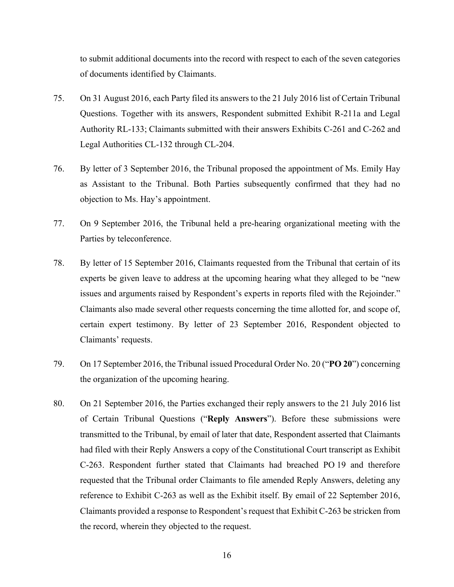to submit additional documents into the record with respect to each of the seven categories of documents identified by Claimants.

- 75. On 31 August 2016, each Party filed its answers to the 21 July 2016 list of Certain Tribunal Questions. Together with its answers, Respondent submitted Exhibit R-211a and Legal Authority RL-133; Claimants submitted with their answers Exhibits C-261 and C-262 and Legal Authorities CL-132 through CL-204.
- 76. By letter of 3 September 2016, the Tribunal proposed the appointment of Ms. Emily Hay as Assistant to the Tribunal. Both Parties subsequently confirmed that they had no objection to Ms. Hay's appointment.
- 77. On 9 September 2016, the Tribunal held a pre-hearing organizational meeting with the Parties by teleconference.
- 78. By letter of 15 September 2016, Claimants requested from the Tribunal that certain of its experts be given leave to address at the upcoming hearing what they alleged to be "new issues and arguments raised by Respondent's experts in reports filed with the Rejoinder." Claimants also made several other requests concerning the time allotted for, and scope of, certain expert testimony. By letter of 23 September 2016, Respondent objected to Claimants' requests.
- 79. On 17 September 2016, the Tribunal issued Procedural Order No. 20 ("**PO 20**") concerning the organization of the upcoming hearing.
- 80. On 21 September 2016, the Parties exchanged their reply answers to the 21 July 2016 list of Certain Tribunal Questions ("**Reply Answers**"). Before these submissions were transmitted to the Tribunal, by email of later that date, Respondent asserted that Claimants had filed with their Reply Answers a copy of the Constitutional Court transcript as Exhibit C-263. Respondent further stated that Claimants had breached PO 19 and therefore requested that the Tribunal order Claimants to file amended Reply Answers, deleting any reference to Exhibit C-263 as well as the Exhibit itself. By email of 22 September 2016, Claimants provided a response to Respondent's request that Exhibit C-263 be stricken from the record, wherein they objected to the request.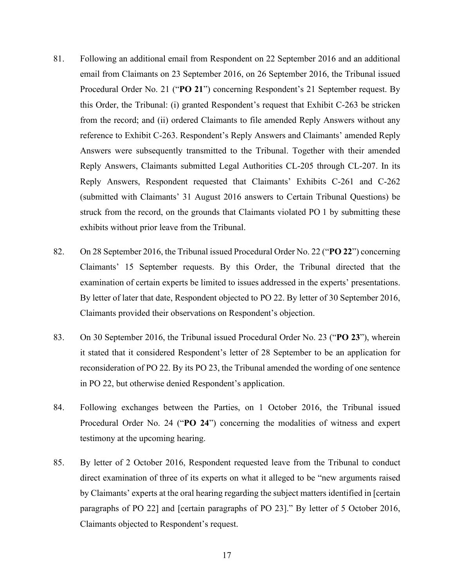- 81. Following an additional email from Respondent on 22 September 2016 and an additional email from Claimants on 23 September 2016, on 26 September 2016, the Tribunal issued Procedural Order No. 21 ("**PO 21**") concerning Respondent's 21 September request. By this Order, the Tribunal: (i) granted Respondent's request that Exhibit C-263 be stricken from the record; and (ii) ordered Claimants to file amended Reply Answers without any reference to Exhibit C-263. Respondent's Reply Answers and Claimants' amended Reply Answers were subsequently transmitted to the Tribunal. Together with their amended Reply Answers, Claimants submitted Legal Authorities CL-205 through CL-207. In its Reply Answers, Respondent requested that Claimants' Exhibits C-261 and C-262 (submitted with Claimants' 31 August 2016 answers to Certain Tribunal Questions) be struck from the record, on the grounds that Claimants violated PO 1 by submitting these exhibits without prior leave from the Tribunal.
- 82. On 28 September 2016, the Tribunal issued Procedural Order No. 22 ("**PO 22**") concerning Claimants' 15 September requests. By this Order, the Tribunal directed that the examination of certain experts be limited to issues addressed in the experts' presentations. By letter of later that date, Respondent objected to PO 22. By letter of 30 September 2016, Claimants provided their observations on Respondent's objection.
- 83. On 30 September 2016, the Tribunal issued Procedural Order No. 23 ("**PO 23**"), wherein it stated that it considered Respondent's letter of 28 September to be an application for reconsideration of PO 22. By its PO 23, the Tribunal amended the wording of one sentence in PO 22, but otherwise denied Respondent's application.
- 84. Following exchanges between the Parties, on 1 October 2016, the Tribunal issued Procedural Order No. 24 ("**PO 24**") concerning the modalities of witness and expert testimony at the upcoming hearing.
- 85. By letter of 2 October 2016, Respondent requested leave from the Tribunal to conduct direct examination of three of its experts on what it alleged to be "new arguments raised by Claimants' experts at the oral hearing regarding the subject matters identified in [certain paragraphs of PO 22] and [certain paragraphs of PO 23]." By letter of 5 October 2016, Claimants objected to Respondent's request.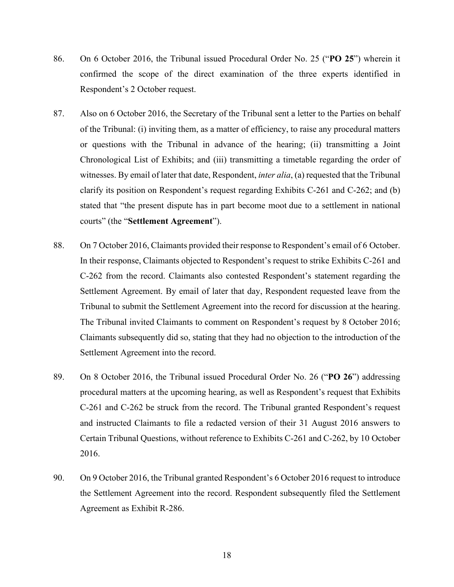- 86. On 6 October 2016, the Tribunal issued Procedural Order No. 25 ("**PO 25**") wherein it confirmed the scope of the direct examination of the three experts identified in Respondent's 2 October request.
- 87. Also on 6 October 2016, the Secretary of the Tribunal sent a letter to the Parties on behalf of the Tribunal: (i) inviting them, as a matter of efficiency, to raise any procedural matters or questions with the Tribunal in advance of the hearing; (ii) transmitting a Joint Chronological List of Exhibits; and (iii) transmitting a timetable regarding the order of witnesses. By email of later that date, Respondent, *inter alia*, (a) requested that the Tribunal clarify its position on Respondent's request regarding Exhibits C-261 and C-262; and (b) stated that "the present dispute has in part become moot due to a settlement in national courts" (the "**Settlement Agreement**").
- 88. On 7 October 2016, Claimants provided their response to Respondent's email of 6 October. In their response, Claimants objected to Respondent's request to strike Exhibits C-261 and C-262 from the record. Claimants also contested Respondent's statement regarding the Settlement Agreement. By email of later that day, Respondent requested leave from the Tribunal to submit the Settlement Agreement into the record for discussion at the hearing. The Tribunal invited Claimants to comment on Respondent's request by 8 October 2016; Claimants subsequently did so, stating that they had no objection to the introduction of the Settlement Agreement into the record.
- 89. On 8 October 2016, the Tribunal issued Procedural Order No. 26 ("**PO 26**") addressing procedural matters at the upcoming hearing, as well as Respondent's request that Exhibits C-261 and C-262 be struck from the record. The Tribunal granted Respondent's request and instructed Claimants to file a redacted version of their 31 August 2016 answers to Certain Tribunal Questions, without reference to Exhibits C-261 and C-262, by 10 October 2016.
- 90. On 9 October 2016, the Tribunal granted Respondent's 6 October 2016 request to introduce the Settlement Agreement into the record. Respondent subsequently filed the Settlement Agreement as Exhibit R-286.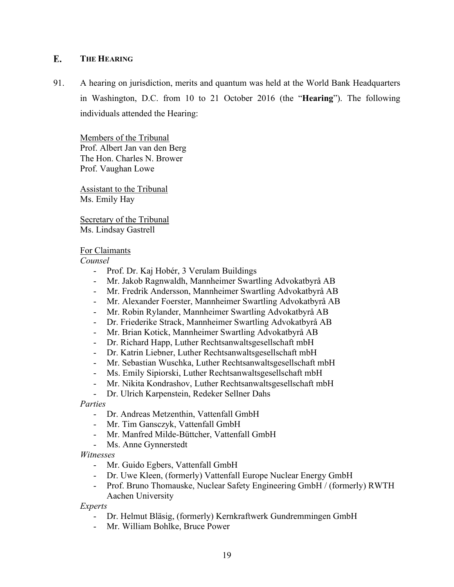#### <span id="page-21-0"></span> $\mathbf{F}$ . **THE HEARING**

91. A hearing on jurisdiction, merits and quantum was held at the World Bank Headquarters in Washington, D.C. from 10 to 21 October 2016 (the "**Hearing**"). The following individuals attended the Hearing:

Members of the Tribunal Prof. Albert Jan van den Berg The Hon. Charles N. Brower Prof. Vaughan Lowe

Assistant to the Tribunal Ms. Emily Hay

Secretary of the Tribunal Ms. Lindsay Gastrell

### For Claimants

*Counsel*

- Prof. Dr. Kaj Hobér, 3 Verulam Buildings
- Mr. Jakob Ragnwaldh, Mannheimer Swartling Advokatbyrå AB
- Mr. Fredrik Andersson, Mannheimer Swartling Advokatbyrå AB
- Mr. Alexander Foerster, Mannheimer Swartling Advokatbyrå AB
- Mr. Robin Rylander, Mannheimer Swartling Advokatbyrå AB
- Dr. Friederike Strack, Mannheimer Swartling Advokatbyrå AB
- Mr. Brian Kotick, Mannheimer Swartling Advokatbyrå AB
- Dr. Richard Happ, Luther Rechtsanwaltsgesellschaft mbH
- Dr. Katrin Liebner, Luther Rechtsanwaltsgesellschaft mbH
- Mr. Sebastian Wuschka, Luther Rechtsanwaltsgesellschaft mbH
- Ms. Emily Sipiorski, Luther Rechtsanwaltsgesellschaft mbH
- Mr. Nikita Kondrashov, Luther Rechtsanwaltsgesellschaft mbH
- Dr. Ulrich Karpenstein, Redeker Sellner Dahs

### *Parties*

- Dr. Andreas Metzenthin, Vattenfall GmbH
- Mr. Tim Gansczyk, Vattenfall GmbH
- Mr. Manfred Milde-Büttcher, Vattenfall GmbH
- Ms. Anne Gynnerstedt

*Witnesses*

- Mr. Guido Egbers, Vattenfall GmbH
- Dr. Uwe Kleen, (formerly) Vattenfall Europe Nuclear Energy GmbH
- Prof. Bruno Thomauske, Nuclear Safety Engineering GmbH / (formerly) RWTH Aachen University

*Experts*

- Dr. Helmut Bläsig, (formerly) Kernkraftwerk Gundremmingen GmbH
- Mr. William Bohlke, Bruce Power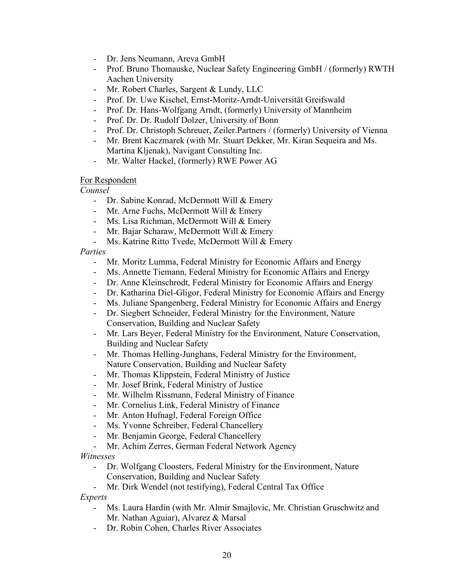- Dr. Jens Neumann, Areva GmbH
- Prof. Bruno Thomauske, Nuclear Safety Engineering GmbH / (formerly) RWTH Aachen University
- Mr. Robert Charles, Sargent & Lundy, LLC
- Prof. Dr. Uwe Kischel, Ernst-Moritz-Arndt-Universität Greifswald
- Prof. Dr. Hans-Wolfgang Arndt, (formerly) University of Mannheim
- Prof. Dr. Dr. Rudolf Dolzer, University of Bonn
- Prof. Dr. Christoph Schreuer, Zeiler.Partners / (formerly) University of Vienna
- Mr. Brent Kaczmarek (with Mr. Stuart Dekker, Mr. Kiran Sequeira and Ms. Martina Kljenak), Navigant Consulting Inc.
- Mr. Walter Hackel, (formerly) RWE Power AG

### For Respondent

*Counsel*

- Dr. Sabine Konrad, McDermott Will & Emery
- Mr. Arne Fuchs, McDermott Will & Emery
- Ms. Lisa Richman, McDermott Will & Emery
- Mr. Bajar Scharaw, McDermott Will & Emery
- Ms. Katrine Ritto Tvede, McDermott Will & Emery

*Parties*

- Mr. Moritz Lumma, Federal Ministry for Economic Affairs and Energy
- Ms. Annette Tiemann, Federal Ministry for Economic Affairs and Energy
- Dr. Anne Kleinschrodt, Federal Ministry for Economic Affairs and Energy
- Dr. Katharina Diel-Gligor, Federal Ministry for Economic Affairs and Energy
- Ms. Juliane Spangenberg, Federal Ministry for Economic Affairs and Energy
- Dr. Siegbert Schneider, Federal Ministry for the Environment, Nature
- Conservation, Building and Nuclear Safety - Mr. Lars Beyer, Federal Ministry for the Environment, Nature Conservation,
	- Building and Nuclear Safety
- Mr. Thomas Helling-Junghans, Federal Ministry for the Environment, Nature Conservation, Building and Nuclear Safety
- Mr. Thomas Klippstein, Federal Ministry of Justice
- Mr. Josef Brink, Federal Ministry of Justice
- Mr. Wilhelm Rissmann, Federal Ministry of Finance
- Mr. Cornelius Link, Federal Ministry of Finance
- Mr. Anton Hufnagl, Federal Foreign Office
- Ms. Yvonne Schreiber, Federal Chancellery
- Mr. Benjamin George, Federal Chancellery
- Mr. Achim Zerres, German Federal Network Agency

*Witnesses*

- Dr. Wolfgang Cloosters, Federal Ministry for the Environment, Nature Conservation, Building and Nuclear Safety
- Mr. Dirk Wendel (not testifying), Federal Central Tax Office

*Experts*

- Ms. Laura Hardin (with Mr. Almir Smajlovic, Mr. Christian Gruschwitz and Mr. Nathan Aguiar), Alvarez & Marsal
- Dr. Robin Cohen, Charles River Associates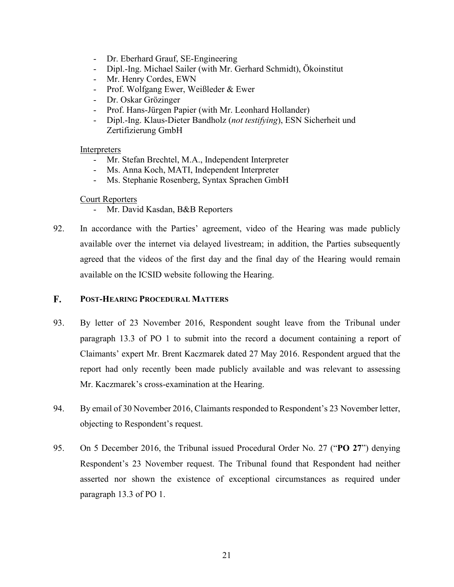- Dr. Eberhard Grauf, SE-Engineering
- Dipl.-Ing. Michael Sailer (with Mr. Gerhard Schmidt), Ökoinstitut
- Mr. Henry Cordes, EWN
- Prof. Wolfgang Ewer, Weißleder & Ewer
- Dr. Oskar Grözinger
- Prof. Hans-Jürgen Papier (with Mr. Leonhard Hollander)
- Dipl.-Ing. Klaus-Dieter Bandholz (*not testifying*), ESN Sicherheit und Zertifizierung GmbH

### **Interpreters**

- Mr. Stefan Brechtel, M.A., Independent Interpreter
- Ms. Anna Koch, MATI, Independent Interpreter
- Ms. Stephanie Rosenberg, Syntax Sprachen GmbH

### Court Reporters

- Mr. David Kasdan, B&B Reporters
- <span id="page-23-1"></span>92. In accordance with the Parties' agreement, video of the Hearing was made publicly available over the internet via delayed livestream; in addition, the Parties subsequently agreed that the videos of the first day and the final day of the Hearing would remain available on the ICSID website following the Hearing.

#### <span id="page-23-0"></span>F. **POST-HEARING PROCEDURAL MATTERS**

- 93. By letter of 23 November 2016, Respondent sought leave from the Tribunal under paragraph 13.3 of PO 1 to submit into the record a document containing a report of Claimants' expert Mr. Brent Kaczmarek dated 27 May 2016. Respondent argued that the report had only recently been made publicly available and was relevant to assessing Mr. Kaczmarek's cross-examination at the Hearing.
- 94. By email of 30 November 2016, Claimants responded to Respondent's 23 November letter, objecting to Respondent's request.
- 95. On 5 December 2016, the Tribunal issued Procedural Order No. 27 ("**PO 27**") denying Respondent's 23 November request. The Tribunal found that Respondent had neither asserted nor shown the existence of exceptional circumstances as required under paragraph 13.3 of PO 1.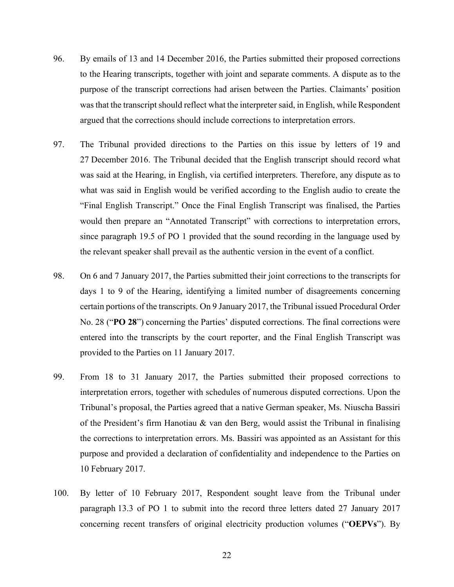- 96. By emails of 13 and 14 December 2016, the Parties submitted their proposed corrections to the Hearing transcripts, together with joint and separate comments. A dispute as to the purpose of the transcript corrections had arisen between the Parties. Claimants' position was that the transcript should reflect what the interpreter said, in English, while Respondent argued that the corrections should include corrections to interpretation errors.
- 97. The Tribunal provided directions to the Parties on this issue by letters of 19 and 27 December 2016. The Tribunal decided that the English transcript should record what was said at the Hearing, in English, via certified interpreters. Therefore, any dispute as to what was said in English would be verified according to the English audio to create the "Final English Transcript." Once the Final English Transcript was finalised, the Parties would then prepare an "Annotated Transcript" with corrections to interpretation errors, since paragraph 19.5 of PO 1 provided that the sound recording in the language used by the relevant speaker shall prevail as the authentic version in the event of a conflict.
- 98. On 6 and 7 January 2017, the Parties submitted their joint corrections to the transcripts for days 1 to 9 of the Hearing, identifying a limited number of disagreements concerning certain portions of the transcripts. On 9 January 2017, the Tribunal issued Procedural Order No. 28 ("**PO 28**") concerning the Parties' disputed corrections. The final corrections were entered into the transcripts by the court reporter, and the Final English Transcript was provided to the Parties on 11 January 2017.
- 99. From 18 to 31 January 2017, the Parties submitted their proposed corrections to interpretation errors, together with schedules of numerous disputed corrections. Upon the Tribunal's proposal, the Parties agreed that a native German speaker, Ms. Niuscha Bassiri of the President's firm Hanotiau & van den Berg, would assist the Tribunal in finalising the corrections to interpretation errors. Ms. Bassiri was appointed as an Assistant for this purpose and provided a declaration of confidentiality and independence to the Parties on 10 February 2017.
- 100. By letter of 10 February 2017, Respondent sought leave from the Tribunal under paragraph 13.3 of PO 1 to submit into the record three letters dated 27 January 2017 concerning recent transfers of original electricity production volumes ("**OEPVs**"). By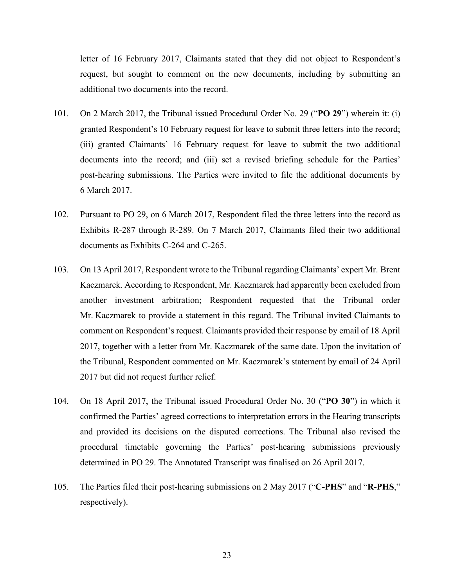letter of 16 February 2017, Claimants stated that they did not object to Respondent's request, but sought to comment on the new documents, including by submitting an additional two documents into the record.

- 101. On 2 March 2017, the Tribunal issued Procedural Order No. 29 ("**PO 29**") wherein it: (i) granted Respondent's 10 February request for leave to submit three letters into the record; (iii) granted Claimants' 16 February request for leave to submit the two additional documents into the record; and (iii) set a revised briefing schedule for the Parties' post-hearing submissions. The Parties were invited to file the additional documents by 6 March 2017.
- 102. Pursuant to PO 29, on 6 March 2017, Respondent filed the three letters into the record as Exhibits R-287 through R-289. On 7 March 2017, Claimants filed their two additional documents as Exhibits C-264 and C-265.
- 103. On 13 April 2017, Respondent wrote to the Tribunal regarding Claimants' expert Mr. Brent Kaczmarek. According to Respondent, Mr. Kaczmarek had apparently been excluded from another investment arbitration; Respondent requested that the Tribunal order Mr. Kaczmarek to provide a statement in this regard. The Tribunal invited Claimants to comment on Respondent's request. Claimants provided their response by email of 18 April 2017, together with a letter from Mr. Kaczmarek of the same date. Upon the invitation of the Tribunal, Respondent commented on Mr. Kaczmarek's statement by email of 24 April 2017 but did not request further relief.
- 104. On 18 April 2017, the Tribunal issued Procedural Order No. 30 ("**PO 30**") in which it confirmed the Parties' agreed corrections to interpretation errors in the Hearing transcripts and provided its decisions on the disputed corrections. The Tribunal also revised the procedural timetable governing the Parties' post-hearing submissions previously determined in PO 29. The Annotated Transcript was finalised on 26 April 2017.
- 105. The Parties filed their post-hearing submissions on 2 May 2017 ("**C-PHS**" and "**R-PHS**," respectively).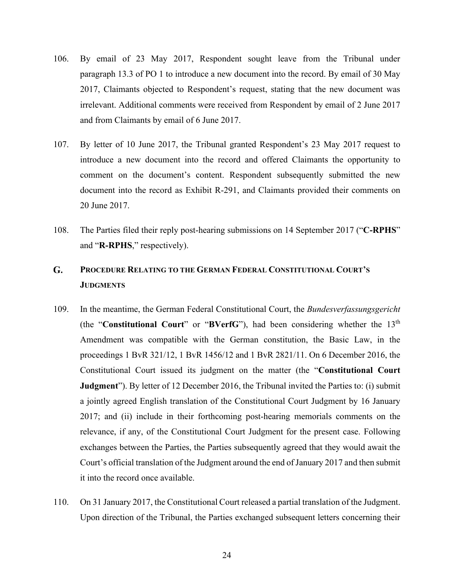- 106. By email of 23 May 2017, Respondent sought leave from the Tribunal under paragraph 13.3 of PO 1 to introduce a new document into the record. By email of 30 May 2017, Claimants objected to Respondent's request, stating that the new document was irrelevant. Additional comments were received from Respondent by email of 2 June 2017 and from Claimants by email of 6 June 2017.
- 107. By letter of 10 June 2017, the Tribunal granted Respondent's 23 May 2017 request to introduce a new document into the record and offered Claimants the opportunity to comment on the document's content. Respondent subsequently submitted the new document into the record as Exhibit R-291, and Claimants provided their comments on 20 June 2017.
- 108. The Parties filed their reply post-hearing submissions on 14 September 2017 ("**C-RPHS**" and "**R-RPHS**," respectively).

### <span id="page-26-0"></span>G. **PROCEDURE RELATING TO THE GERMAN FEDERAL CONSTITUTIONAL COURT'S JUDGMENTS**

- 109. In the meantime, the German Federal Constitutional Court, the *Bundesverfassungsgericht* (the "**Constitutional Court**" or "**BVerfG**"), had been considering whether the 13th Amendment was compatible with the German constitution, the Basic Law, in the proceedings 1 BvR 321/12, 1 BvR 1456/12 and 1 BvR 2821/11. On 6 December 2016, the Constitutional Court issued its judgment on the matter (the "**Constitutional Court Judgment**"). By letter of 12 December 2016, the Tribunal invited the Parties to: (i) submit a jointly agreed English translation of the Constitutional Court Judgment by 16 January 2017; and (ii) include in their forthcoming post-hearing memorials comments on the relevance, if any, of the Constitutional Court Judgment for the present case. Following exchanges between the Parties, the Parties subsequently agreed that they would await the Court's official translation of the Judgment around the end of January 2017 and then submit it into the record once available.
- 110. On 31 January 2017, the Constitutional Court released a partial translation of the Judgment. Upon direction of the Tribunal, the Parties exchanged subsequent letters concerning their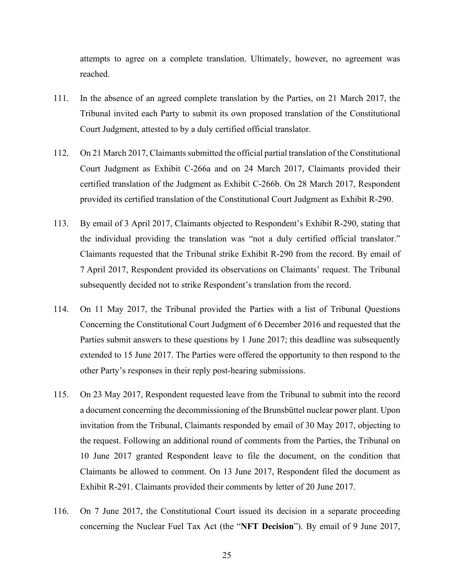attempts to agree on a complete translation. Ultimately, however, no agreement was reached.

- 111. In the absence of an agreed complete translation by the Parties, on 21 March 2017, the Tribunal invited each Party to submit its own proposed translation of the Constitutional Court Judgment, attested to by a duly certified official translator.
- 112. On 21 March 2017, Claimants submitted the official partial translation of the Constitutional Court Judgment as Exhibit C-266a and on 24 March 2017, Claimants provided their certified translation of the Judgment as Exhibit C-266b. On 28 March 2017, Respondent provided its certified translation of the Constitutional Court Judgment as Exhibit R-290.
- 113. By email of 3 April 2017, Claimants objected to Respondent's Exhibit R-290, stating that the individual providing the translation was "not a duly certified official translator." Claimants requested that the Tribunal strike Exhibit R-290 from the record. By email of 7 April 2017, Respondent provided its observations on Claimants' request. The Tribunal subsequently decided not to strike Respondent's translation from the record.
- 114. On 11 May 2017, the Tribunal provided the Parties with a list of Tribunal Questions Concerning the Constitutional Court Judgment of 6 December 2016 and requested that the Parties submit answers to these questions by 1 June 2017; this deadline was subsequently extended to 15 June 2017. The Parties were offered the opportunity to then respond to the other Party's responses in their reply post-hearing submissions.
- 115. On 23 May 2017, Respondent requested leave from the Tribunal to submit into the record a document concerning the decommissioning of the Brunsbüttel nuclear power plant. Upon invitation from the Tribunal, Claimants responded by email of 30 May 2017, objecting to the request. Following an additional round of comments from the Parties, the Tribunal on 10 June 2017 granted Respondent leave to file the document, on the condition that Claimants be allowed to comment. On 13 June 2017, Respondent filed the document as Exhibit R-291. Claimants provided their comments by letter of 20 June 2017.
- 116. On 7 June 2017, the Constitutional Court issued its decision in a separate proceeding concerning the Nuclear Fuel Tax Act (the "**NFT Decision**"). By email of 9 June 2017,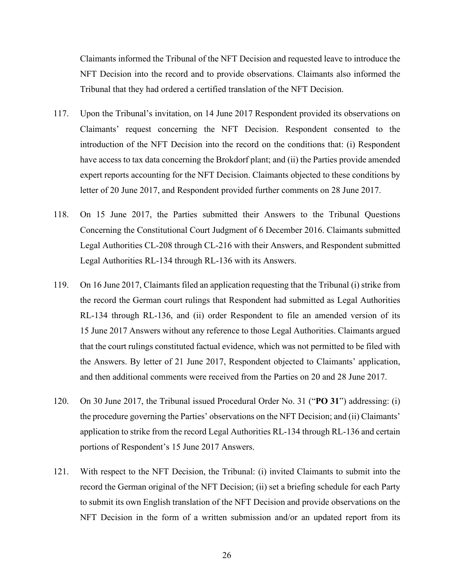Claimants informed the Tribunal of the NFT Decision and requested leave to introduce the NFT Decision into the record and to provide observations. Claimants also informed the Tribunal that they had ordered a certified translation of the NFT Decision.

- 117. Upon the Tribunal's invitation, on 14 June 2017 Respondent provided its observations on Claimants' request concerning the NFT Decision. Respondent consented to the introduction of the NFT Decision into the record on the conditions that: (i) Respondent have access to tax data concerning the Brokdorf plant; and (ii) the Parties provide amended expert reports accounting for the NFT Decision. Claimants objected to these conditions by letter of 20 June 2017, and Respondent provided further comments on 28 June 2017.
- 118. On 15 June 2017, the Parties submitted their Answers to the Tribunal Questions Concerning the Constitutional Court Judgment of 6 December 2016. Claimants submitted Legal Authorities CL-208 through CL-216 with their Answers, and Respondent submitted Legal Authorities RL-134 through RL-136 with its Answers.
- 119. On 16 June 2017, Claimants filed an application requesting that the Tribunal (i) strike from the record the German court rulings that Respondent had submitted as Legal Authorities RL-134 through RL-136, and (ii) order Respondent to file an amended version of its 15 June 2017 Answers without any reference to those Legal Authorities. Claimants argued that the court rulings constituted factual evidence, which was not permitted to be filed with the Answers. By letter of 21 June 2017, Respondent objected to Claimants' application, and then additional comments were received from the Parties on 20 and 28 June 2017.
- 120. On 30 June 2017, the Tribunal issued Procedural Order No. 31 ("**PO 31**") addressing: (i) the procedure governing the Parties' observations on the NFT Decision; and (ii) Claimants' application to strike from the record Legal Authorities RL-134 through RL-136 and certain portions of Respondent's 15 June 2017 Answers.
- 121. With respect to the NFT Decision, the Tribunal: (i) invited Claimants to submit into the record the German original of the NFT Decision; (ii) set a briefing schedule for each Party to submit its own English translation of the NFT Decision and provide observations on the NFT Decision in the form of a written submission and/or an updated report from its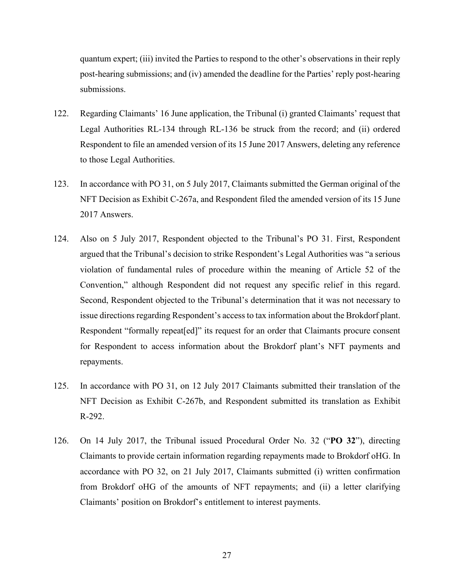quantum expert; (iii) invited the Parties to respond to the other's observations in their reply post-hearing submissions; and (iv) amended the deadline for the Parties' reply post-hearing submissions.

- 122. Regarding Claimants' 16 June application, the Tribunal (i) granted Claimants' request that Legal Authorities RL-134 through RL-136 be struck from the record; and (ii) ordered Respondent to file an amended version of its 15 June 2017 Answers, deleting any reference to those Legal Authorities.
- 123. In accordance with PO 31, on 5 July 2017, Claimants submitted the German original of the NFT Decision as Exhibit C-267a, and Respondent filed the amended version of its 15 June 2017 Answers.
- 124. Also on 5 July 2017, Respondent objected to the Tribunal's PO 31. First, Respondent argued that the Tribunal's decision to strike Respondent's Legal Authorities was "a serious violation of fundamental rules of procedure within the meaning of Article 52 of the Convention," although Respondent did not request any specific relief in this regard. Second, Respondent objected to the Tribunal's determination that it was not necessary to issue directions regarding Respondent's access to tax information about the Brokdorf plant. Respondent "formally repeat[ed]" its request for an order that Claimants procure consent for Respondent to access information about the Brokdorf plant's NFT payments and repayments.
- 125. In accordance with PO 31, on 12 July 2017 Claimants submitted their translation of the NFT Decision as Exhibit C-267b, and Respondent submitted its translation as Exhibit R-292.
- 126. On 14 July 2017, the Tribunal issued Procedural Order No. 32 ("**PO 32**"), directing Claimants to provide certain information regarding repayments made to Brokdorf oHG. In accordance with PO 32, on 21 July 2017, Claimants submitted (i) written confirmation from Brokdorf oHG of the amounts of NFT repayments; and (ii) a letter clarifying Claimants' position on Brokdorf's entitlement to interest payments.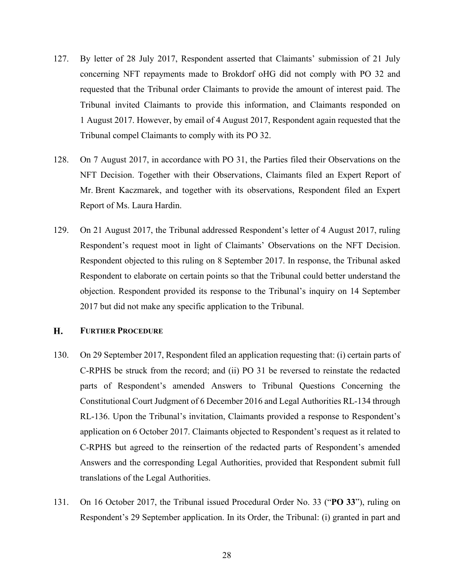- 127. By letter of 28 July 2017, Respondent asserted that Claimants' submission of 21 July concerning NFT repayments made to Brokdorf oHG did not comply with PO 32 and requested that the Tribunal order Claimants to provide the amount of interest paid. The Tribunal invited Claimants to provide this information, and Claimants responded on 1 August 2017. However, by email of 4 August 2017, Respondent again requested that the Tribunal compel Claimants to comply with its PO 32.
- 128. On 7 August 2017, in accordance with PO 31, the Parties filed their Observations on the NFT Decision. Together with their Observations, Claimants filed an Expert Report of Mr. Brent Kaczmarek, and together with its observations, Respondent filed an Expert Report of Ms. Laura Hardin.
- 129. On 21 August 2017, the Tribunal addressed Respondent's letter of 4 August 2017, ruling Respondent's request moot in light of Claimants' Observations on the NFT Decision. Respondent objected to this ruling on 8 September 2017. In response, the Tribunal asked Respondent to elaborate on certain points so that the Tribunal could better understand the objection. Respondent provided its response to the Tribunal's inquiry on 14 September 2017 but did not make any specific application to the Tribunal.

#### <span id="page-30-0"></span>H. **FURTHER PROCEDURE**

- 130. On 29 September 2017, Respondent filed an application requesting that: (i) certain parts of C-RPHS be struck from the record; and (ii) PO 31 be reversed to reinstate the redacted parts of Respondent's amended Answers to Tribunal Questions Concerning the Constitutional Court Judgment of 6 December 2016 and Legal Authorities RL-134 through RL-136. Upon the Tribunal's invitation, Claimants provided a response to Respondent's application on 6 October 2017. Claimants objected to Respondent's request as it related to C-RPHS but agreed to the reinsertion of the redacted parts of Respondent's amended Answers and the corresponding Legal Authorities, provided that Respondent submit full translations of the Legal Authorities.
- 131. On 16 October 2017, the Tribunal issued Procedural Order No. 33 ("**PO 33**"), ruling on Respondent's 29 September application. In its Order, the Tribunal: (i) granted in part and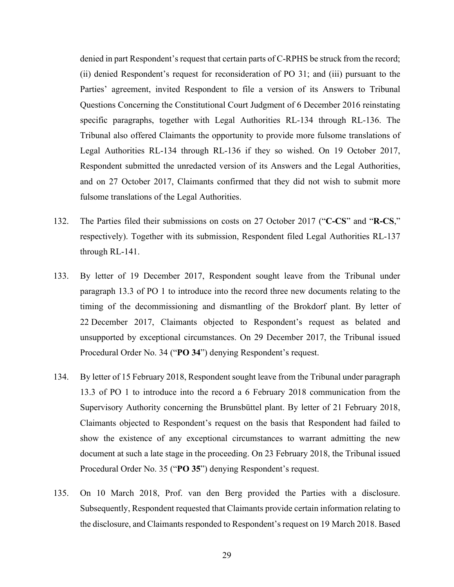denied in part Respondent's request that certain parts of C-RPHS be struck from the record; (ii) denied Respondent's request for reconsideration of PO 31; and (iii) pursuant to the Parties' agreement, invited Respondent to file a version of its Answers to Tribunal Questions Concerning the Constitutional Court Judgment of 6 December 2016 reinstating specific paragraphs, together with Legal Authorities RL-134 through RL-136. The Tribunal also offered Claimants the opportunity to provide more fulsome translations of Legal Authorities RL-134 through RL-136 if they so wished. On 19 October 2017, Respondent submitted the unredacted version of its Answers and the Legal Authorities, and on 27 October 2017, Claimants confirmed that they did not wish to submit more fulsome translations of the Legal Authorities.

- 132. The Parties filed their submissions on costs on 27 October 2017 ("**C-CS**" and "**R-CS**," respectively). Together with its submission, Respondent filed Legal Authorities RL-137 through RL-141.
- 133. By letter of 19 December 2017, Respondent sought leave from the Tribunal under paragraph 13.3 of PO 1 to introduce into the record three new documents relating to the timing of the decommissioning and dismantling of the Brokdorf plant. By letter of 22 December 2017, Claimants objected to Respondent's request as belated and unsupported by exceptional circumstances. On 29 December 2017, the Tribunal issued Procedural Order No. 34 ("**PO 34**") denying Respondent's request.
- 134. By letter of 15 February 2018, Respondent sought leave from the Tribunal under paragraph 13.3 of PO 1 to introduce into the record a 6 February 2018 communication from the Supervisory Authority concerning the Brunsbüttel plant. By letter of 21 February 2018, Claimants objected to Respondent's request on the basis that Respondent had failed to show the existence of any exceptional circumstances to warrant admitting the new document at such a late stage in the proceeding. On 23 February 2018, the Tribunal issued Procedural Order No. 35 ("**PO 35**") denying Respondent's request.
- 135. On 10 March 2018, Prof. van den Berg provided the Parties with a disclosure. Subsequently, Respondent requested that Claimants provide certain information relating to the disclosure, and Claimants responded to Respondent's request on 19 March 2018. Based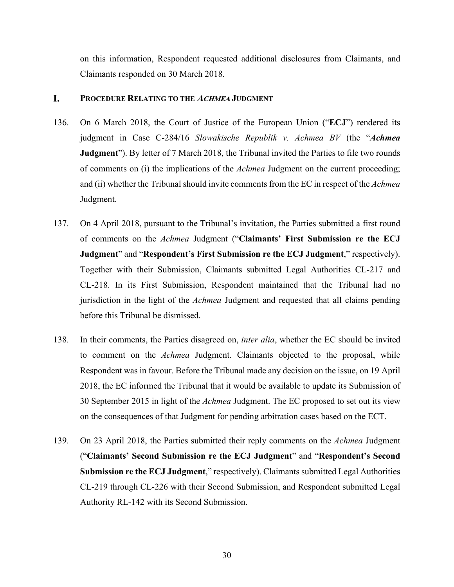on this information, Respondent requested additional disclosures from Claimants, and Claimants responded on 30 March 2018.

#### <span id="page-32-0"></span>I. **PROCEDURE RELATING TO THE ACHMEA JUDGMENT**

- 136. On 6 March 2018, the Court of Justice of the European Union ("**ECJ**") rendered its judgment in Case C-284/16 *Slowakische Republik v. Achmea BV* (the "*Achmea* **Judgment**"). By letter of 7 March 2018, the Tribunal invited the Parties to file two rounds of comments on (i) the implications of the *Achmea* Judgment on the current proceeding; and (ii) whether the Tribunal should invite comments from the EC in respect of the *Achmea* Judgment.
- 137. On 4 April 2018, pursuant to the Tribunal's invitation, the Parties submitted a first round of comments on the *Achmea* Judgment ("**Claimants' First Submission re the ECJ Judgment**" and "**Respondent's First Submission re the ECJ Judgment**," respectively). Together with their Submission, Claimants submitted Legal Authorities CL-217 and CL-218. In its First Submission, Respondent maintained that the Tribunal had no jurisdiction in the light of the *Achmea* Judgment and requested that all claims pending before this Tribunal be dismissed.
- 138. In their comments, the Parties disagreed on, *inter alia*, whether the EC should be invited to comment on the *Achmea* Judgment. Claimants objected to the proposal, while Respondent was in favour. Before the Tribunal made any decision on the issue, on 19 April 2018, the EC informed the Tribunal that it would be available to update its Submission of 30 September 2015 in light of the *Achmea* Judgment. The EC proposed to set out its view on the consequences of that Judgment for pending arbitration cases based on the ECT.
- 139. On 23 April 2018, the Parties submitted their reply comments on the *Achmea* Judgment ("**Claimants' Second Submission re the ECJ Judgment**" and "**Respondent's Second Submission re the ECJ Judgment**," respectively). Claimants submitted Legal Authorities CL-219 through CL-226 with their Second Submission, and Respondent submitted Legal Authority RL-142 with its Second Submission.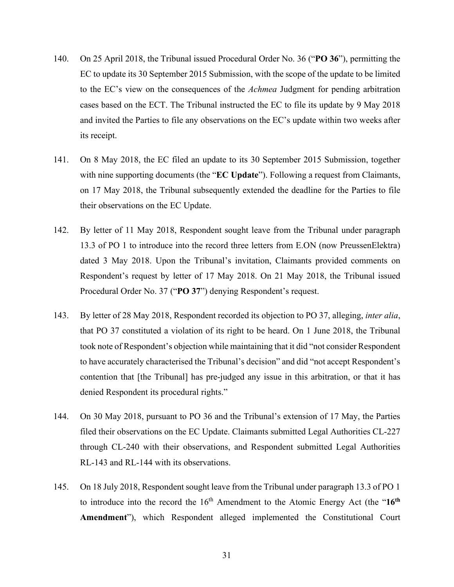- 140. On 25 April 2018, the Tribunal issued Procedural Order No. 36 ("**PO 36**"), permitting the EC to update its 30 September 2015 Submission, with the scope of the update to be limited to the EC's view on the consequences of the *Achmea* Judgment for pending arbitration cases based on the ECT. The Tribunal instructed the EC to file its update by 9 May 2018 and invited the Parties to file any observations on the EC's update within two weeks after its receipt.
- 141. On 8 May 2018, the EC filed an update to its 30 September 2015 Submission, together with nine supporting documents (the "**EC Update**"). Following a request from Claimants, on 17 May 2018, the Tribunal subsequently extended the deadline for the Parties to file their observations on the EC Update.
- 142. By letter of 11 May 2018, Respondent sought leave from the Tribunal under paragraph 13.3 of PO 1 to introduce into the record three letters from E.ON (now PreussenElektra) dated 3 May 2018. Upon the Tribunal's invitation, Claimants provided comments on Respondent's request by letter of 17 May 2018. On 21 May 2018, the Tribunal issued Procedural Order No. 37 ("**PO 37**") denying Respondent's request.
- 143. By letter of 28 May 2018, Respondent recorded its objection to PO 37, alleging, *inter alia*, that PO 37 constituted a violation of its right to be heard. On 1 June 2018, the Tribunal took note of Respondent's objection while maintaining that it did "not consider Respondent to have accurately characterised the Tribunal's decision" and did "not accept Respondent's contention that [the Tribunal] has pre-judged any issue in this arbitration, or that it has denied Respondent its procedural rights."
- 144. On 30 May 2018, pursuant to PO 36 and the Tribunal's extension of 17 May, the Parties filed their observations on the EC Update. Claimants submitted Legal Authorities CL-227 through CL-240 with their observations, and Respondent submitted Legal Authorities RL-143 and RL-144 with its observations.
- 145. On 18 July 2018, Respondent sought leave from the Tribunal under paragraph 13.3 of PO 1 to introduce into the record the 16<sup>th</sup> Amendment to the Atomic Energy Act (the "16<sup>th</sup> **Amendment**"), which Respondent alleged implemented the Constitutional Court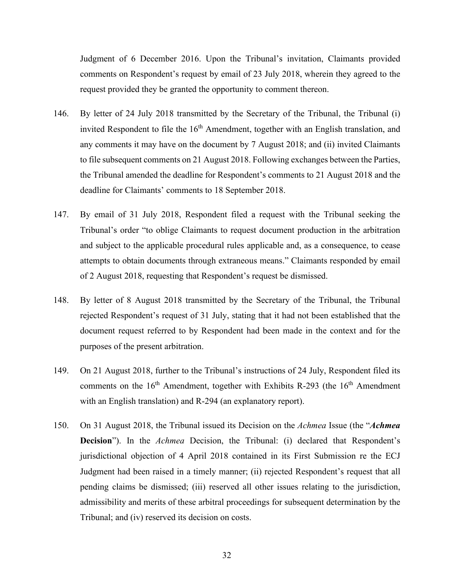Judgment of 6 December 2016. Upon the Tribunal's invitation, Claimants provided comments on Respondent's request by email of 23 July 2018, wherein they agreed to the request provided they be granted the opportunity to comment thereon.

- 146. By letter of 24 July 2018 transmitted by the Secretary of the Tribunal, the Tribunal (i) invited Respondent to file the  $16<sup>th</sup>$  Amendment, together with an English translation, and any comments it may have on the document by 7 August 2018; and (ii) invited Claimants to file subsequent comments on 21 August 2018. Following exchanges between the Parties, the Tribunal amended the deadline for Respondent's comments to 21 August 2018 and the deadline for Claimants' comments to 18 September 2018.
- 147. By email of 31 July 2018, Respondent filed a request with the Tribunal seeking the Tribunal's order "to oblige Claimants to request document production in the arbitration and subject to the applicable procedural rules applicable and, as a consequence, to cease attempts to obtain documents through extraneous means." Claimants responded by email of 2 August 2018, requesting that Respondent's request be dismissed.
- 148. By letter of 8 August 2018 transmitted by the Secretary of the Tribunal, the Tribunal rejected Respondent's request of 31 July, stating that it had not been established that the document request referred to by Respondent had been made in the context and for the purposes of the present arbitration.
- 149. On 21 August 2018, further to the Tribunal's instructions of 24 July, Respondent filed its comments on the  $16<sup>th</sup>$  Amendment, together with Exhibits R-293 (the  $16<sup>th</sup>$  Amendment with an English translation) and R-294 (an explanatory report).
- 150. On 31 August 2018, the Tribunal issued its Decision on the *Achmea* Issue (the "*Achmea* **Decision**"). In the *Achmea* Decision, the Tribunal: (i) declared that Respondent's jurisdictional objection of 4 April 2018 contained in its First Submission re the ECJ Judgment had been raised in a timely manner; (ii) rejected Respondent's request that all pending claims be dismissed; (iii) reserved all other issues relating to the jurisdiction, admissibility and merits of these arbitral proceedings for subsequent determination by the Tribunal; and (iv) reserved its decision on costs.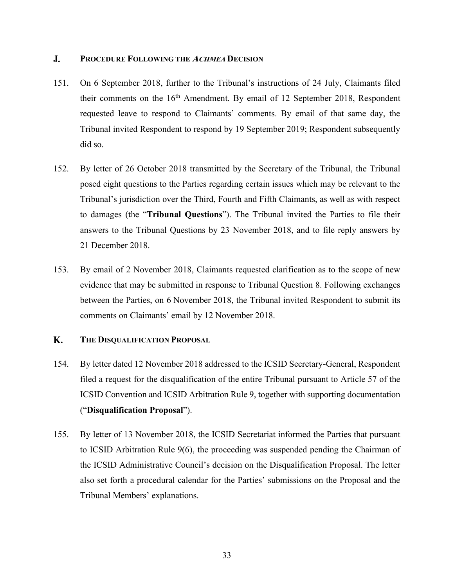#### <span id="page-35-0"></span> $\mathbf{J}$ . **PROCEDURE FOLLOWING THE ACHMEA DECISION**

- 151. On 6 September 2018, further to the Tribunal's instructions of 24 July, Claimants filed their comments on the  $16<sup>th</sup>$  Amendment. By email of 12 September 2018, Respondent requested leave to respond to Claimants' comments. By email of that same day, the Tribunal invited Respondent to respond by 19 September 2019; Respondent subsequently did so.
- 152. By letter of 26 October 2018 transmitted by the Secretary of the Tribunal, the Tribunal posed eight questions to the Parties regarding certain issues which may be relevant to the Tribunal's jurisdiction over the Third, Fourth and Fifth Claimants, as well as with respect to damages (the "**Tribunal Questions**"). The Tribunal invited the Parties to file their answers to the Tribunal Questions by 23 November 2018, and to file reply answers by 21 December 2018.
- 153. By email of 2 November 2018, Claimants requested clarification as to the scope of new evidence that may be submitted in response to Tribunal Question 8. Following exchanges between the Parties, on 6 November 2018, the Tribunal invited Respondent to submit its comments on Claimants' email by 12 November 2018.

#### <span id="page-35-1"></span>K. **THE DISQUALIFICATION PROPOSAL**

- 154. By letter dated 12 November 2018 addressed to the ICSID Secretary-General, Respondent filed a request for the disqualification of the entire Tribunal pursuant to Article 57 of the ICSID Convention and ICSID Arbitration Rule 9, together with supporting documentation ("**Disqualification Proposal**").
- 155. By letter of 13 November 2018, the ICSID Secretariat informed the Parties that pursuant to ICSID Arbitration Rule 9(6), the proceeding was suspended pending the Chairman of the ICSID Administrative Council's decision on the Disqualification Proposal. The letter also set forth a procedural calendar for the Parties' submissions on the Proposal and the Tribunal Members' explanations.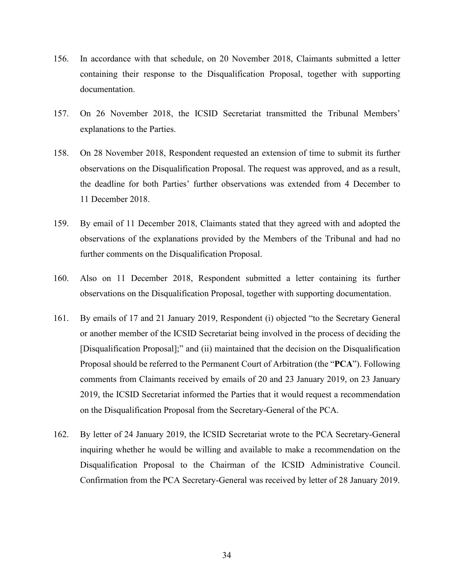- 156. In accordance with that schedule, on 20 November 2018, Claimants submitted a letter containing their response to the Disqualification Proposal, together with supporting documentation.
- 157. On 26 November 2018, the ICSID Secretariat transmitted the Tribunal Members' explanations to the Parties.
- 158. On 28 November 2018, Respondent requested an extension of time to submit its further observations on the Disqualification Proposal. The request was approved, and as a result, the deadline for both Parties' further observations was extended from 4 December to 11 December 2018.
- 159. By email of 11 December 2018, Claimants stated that they agreed with and adopted the observations of the explanations provided by the Members of the Tribunal and had no further comments on the Disqualification Proposal.
- 160. Also on 11 December 2018, Respondent submitted a letter containing its further observations on the Disqualification Proposal, together with supporting documentation.
- 161. By emails of 17 and 21 January 2019, Respondent (i) objected "to the Secretary General or another member of the ICSID Secretariat being involved in the process of deciding the [Disqualification Proposal];" and (ii) maintained that the decision on the Disqualification Proposal should be referred to the Permanent Court of Arbitration (the "**PCA**"). Following comments from Claimants received by emails of 20 and 23 January 2019, on 23 January 2019, the ICSID Secretariat informed the Parties that it would request a recommendation on the Disqualification Proposal from the Secretary-General of the PCA.
- 162. By letter of 24 January 2019, the ICSID Secretariat wrote to the PCA Secretary-General inquiring whether he would be willing and available to make a recommendation on the Disqualification Proposal to the Chairman of the ICSID Administrative Council. Confirmation from the PCA Secretary-General was received by letter of 28 January 2019.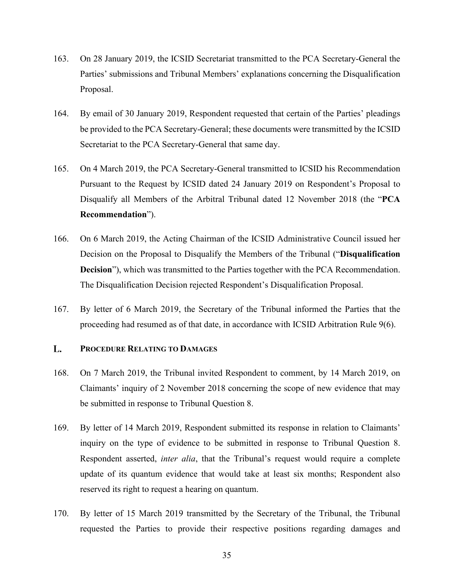- 163. On 28 January 2019, the ICSID Secretariat transmitted to the PCA Secretary-General the Parties' submissions and Tribunal Members' explanations concerning the Disqualification Proposal.
- 164. By email of 30 January 2019, Respondent requested that certain of the Parties' pleadings be provided to the PCA Secretary-General; these documents were transmitted by the ICSID Secretariat to the PCA Secretary-General that same day.
- 165. On 4 March 2019, the PCA Secretary-General transmitted to ICSID his Recommendation Pursuant to the Request by ICSID dated 24 January 2019 on Respondent's Proposal to Disqualify all Members of the Arbitral Tribunal dated 12 November 2018 (the "**PCA Recommendation**").
- 166. On 6 March 2019, the Acting Chairman of the ICSID Administrative Council issued her Decision on the Proposal to Disqualify the Members of the Tribunal ("**Disqualification Decision**"), which was transmitted to the Parties together with the PCA Recommendation. The Disqualification Decision rejected Respondent's Disqualification Proposal.
- 167. By letter of 6 March 2019, the Secretary of the Tribunal informed the Parties that the proceeding had resumed as of that date, in accordance with ICSID Arbitration Rule 9(6).

#### <span id="page-37-0"></span>L. **PROCEDURE RELATING TO DAMAGES**

- 168. On 7 March 2019, the Tribunal invited Respondent to comment, by 14 March 2019, on Claimants' inquiry of 2 November 2018 concerning the scope of new evidence that may be submitted in response to Tribunal Question 8.
- 169. By letter of 14 March 2019, Respondent submitted its response in relation to Claimants' inquiry on the type of evidence to be submitted in response to Tribunal Question 8. Respondent asserted, *inter alia*, that the Tribunal's request would require a complete update of its quantum evidence that would take at least six months; Respondent also reserved its right to request a hearing on quantum.
- 170. By letter of 15 March 2019 transmitted by the Secretary of the Tribunal, the Tribunal requested the Parties to provide their respective positions regarding damages and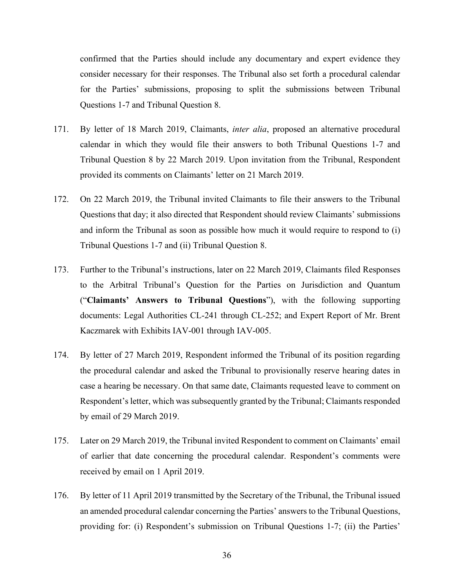confirmed that the Parties should include any documentary and expert evidence they consider necessary for their responses. The Tribunal also set forth a procedural calendar for the Parties' submissions, proposing to split the submissions between Tribunal Questions 1-7 and Tribunal Question 8.

- 171. By letter of 18 March 2019, Claimants, *inter alia*, proposed an alternative procedural calendar in which they would file their answers to both Tribunal Questions 1-7 and Tribunal Question 8 by 22 March 2019. Upon invitation from the Tribunal, Respondent provided its comments on Claimants' letter on 21 March 2019.
- 172. On 22 March 2019, the Tribunal invited Claimants to file their answers to the Tribunal Questions that day; it also directed that Respondent should review Claimants' submissions and inform the Tribunal as soon as possible how much it would require to respond to (i) Tribunal Questions 1-7 and (ii) Tribunal Question 8.
- 173. Further to the Tribunal's instructions, later on 22 March 2019, Claimants filed Responses to the Arbitral Tribunal's Question for the Parties on Jurisdiction and Quantum ("**Claimants' Answers to Tribunal Questions**"), with the following supporting documents: Legal Authorities CL-241 through CL-252; and Expert Report of Mr. Brent Kaczmarek with Exhibits IAV-001 through IAV-005.
- 174. By letter of 27 March 2019, Respondent informed the Tribunal of its position regarding the procedural calendar and asked the Tribunal to provisionally reserve hearing dates in case a hearing be necessary. On that same date, Claimants requested leave to comment on Respondent's letter, which was subsequently granted by the Tribunal; Claimants responded by email of 29 March 2019.
- 175. Later on 29 March 2019, the Tribunal invited Respondent to comment on Claimants' email of earlier that date concerning the procedural calendar. Respondent's comments were received by email on 1 April 2019.
- 176. By letter of 11 April 2019 transmitted by the Secretary of the Tribunal, the Tribunal issued an amended procedural calendar concerning the Parties' answers to the Tribunal Questions, providing for: (i) Respondent's submission on Tribunal Questions 1-7; (ii) the Parties'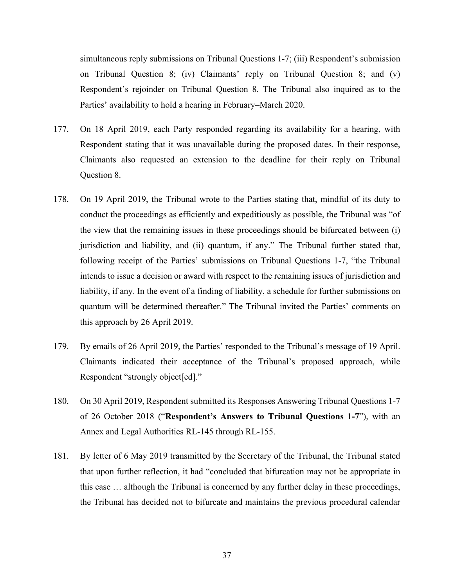simultaneous reply submissions on Tribunal Questions 1-7; (iii) Respondent's submission on Tribunal Question 8; (iv) Claimants' reply on Tribunal Question 8; and (v) Respondent's rejoinder on Tribunal Question 8. The Tribunal also inquired as to the Parties' availability to hold a hearing in February–March 2020.

- 177. On 18 April 2019, each Party responded regarding its availability for a hearing, with Respondent stating that it was unavailable during the proposed dates. In their response, Claimants also requested an extension to the deadline for their reply on Tribunal Question 8.
- 178. On 19 April 2019, the Tribunal wrote to the Parties stating that, mindful of its duty to conduct the proceedings as efficiently and expeditiously as possible, the Tribunal was "of the view that the remaining issues in these proceedings should be bifurcated between (i) jurisdiction and liability, and (ii) quantum, if any." The Tribunal further stated that, following receipt of the Parties' submissions on Tribunal Questions 1-7, "the Tribunal intends to issue a decision or award with respect to the remaining issues of jurisdiction and liability, if any. In the event of a finding of liability, a schedule for further submissions on quantum will be determined thereafter." The Tribunal invited the Parties' comments on this approach by 26 April 2019.
- 179. By emails of 26 April 2019, the Parties' responded to the Tribunal's message of 19 April. Claimants indicated their acceptance of the Tribunal's proposed approach, while Respondent "strongly object[ed]."
- 180. On 30 April 2019, Respondent submitted its Responses Answering Tribunal Questions 1-7 of 26 October 2018 ("**Respondent's Answers to Tribunal Questions 1-7**"), with an Annex and Legal Authorities RL-145 through RL-155.
- 181. By letter of 6 May 2019 transmitted by the Secretary of the Tribunal, the Tribunal stated that upon further reflection, it had "concluded that bifurcation may not be appropriate in this case … although the Tribunal is concerned by any further delay in these proceedings, the Tribunal has decided not to bifurcate and maintains the previous procedural calendar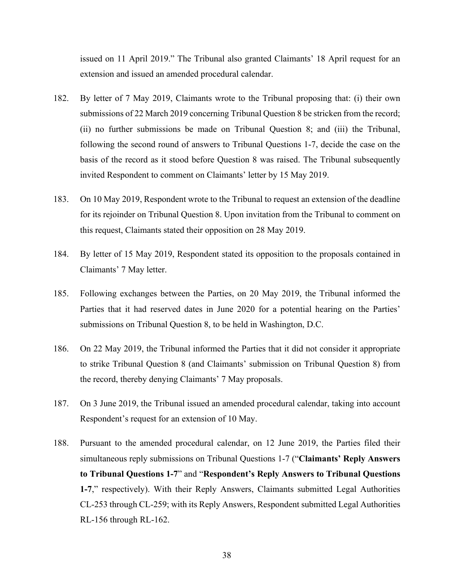issued on 11 April 2019." The Tribunal also granted Claimants' 18 April request for an extension and issued an amended procedural calendar.

- 182. By letter of 7 May 2019, Claimants wrote to the Tribunal proposing that: (i) their own submissions of 22 March 2019 concerning Tribunal Question 8 be stricken from the record; (ii) no further submissions be made on Tribunal Question 8; and (iii) the Tribunal, following the second round of answers to Tribunal Questions 1-7, decide the case on the basis of the record as it stood before Question 8 was raised. The Tribunal subsequently invited Respondent to comment on Claimants' letter by 15 May 2019.
- 183. On 10 May 2019, Respondent wrote to the Tribunal to request an extension of the deadline for its rejoinder on Tribunal Question 8. Upon invitation from the Tribunal to comment on this request, Claimants stated their opposition on 28 May 2019.
- 184. By letter of 15 May 2019, Respondent stated its opposition to the proposals contained in Claimants' 7 May letter.
- 185. Following exchanges between the Parties, on 20 May 2019, the Tribunal informed the Parties that it had reserved dates in June 2020 for a potential hearing on the Parties' submissions on Tribunal Question 8, to be held in Washington, D.C.
- 186. On 22 May 2019, the Tribunal informed the Parties that it did not consider it appropriate to strike Tribunal Question 8 (and Claimants' submission on Tribunal Question 8) from the record, thereby denying Claimants' 7 May proposals.
- 187. On 3 June 2019, the Tribunal issued an amended procedural calendar, taking into account Respondent's request for an extension of 10 May.
- 188. Pursuant to the amended procedural calendar, on 12 June 2019, the Parties filed their simultaneous reply submissions on Tribunal Questions 1-7 ("**Claimants' Reply Answers to Tribunal Questions 1-7**" and "**Respondent's Reply Answers to Tribunal Questions 1-7**," respectively). With their Reply Answers, Claimants submitted Legal Authorities CL-253 through CL-259; with its Reply Answers, Respondent submitted Legal Authorities RL-156 through RL-162.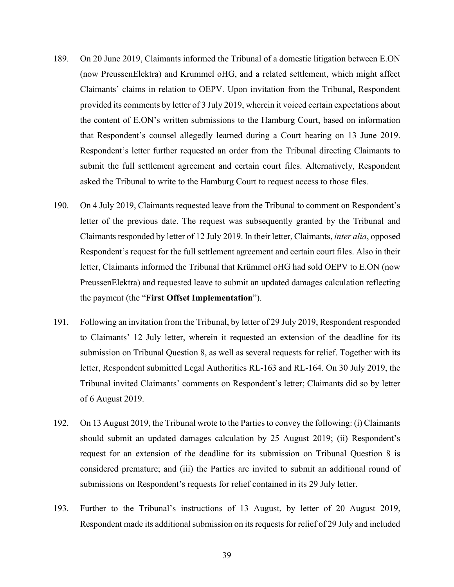- <span id="page-41-0"></span>189. On 20 June 2019, Claimants informed the Tribunal of a domestic litigation between E.ON (now PreussenElektra) and Krummel oHG, and a related settlement, which might affect Claimants' claims in relation to OEPV. Upon invitation from the Tribunal, Respondent provided its comments by letter of 3 July 2019, wherein it voiced certain expectations about the content of E.ON's written submissions to the Hamburg Court, based on information that Respondent's counsel allegedly learned during a Court hearing on 13 June 2019. Respondent's letter further requested an order from the Tribunal directing Claimants to submit the full settlement agreement and certain court files. Alternatively, Respondent asked the Tribunal to write to the Hamburg Court to request access to those files.
- 190. On 4 July 2019, Claimants requested leave from the Tribunal to comment on Respondent's letter of the previous date. The request was subsequently granted by the Tribunal and Claimants responded by letter of 12 July 2019. In their letter, Claimants, *inter alia*, opposed Respondent's request for the full settlement agreement and certain court files. Also in their letter, Claimants informed the Tribunal that Krümmel oHG had sold OEPV to E.ON (now PreussenElektra) and requested leave to submit an updated damages calculation reflecting the payment (the "**First Offset Implementation**").
- 191. Following an invitation from the Tribunal, by letter of 29 July 2019, Respondent responded to Claimants' 12 July letter, wherein it requested an extension of the deadline for its submission on Tribunal Question 8, as well as several requests for relief. Together with its letter, Respondent submitted Legal Authorities RL-163 and RL-164. On 30 July 2019, the Tribunal invited Claimants' comments on Respondent's letter; Claimants did so by letter of 6 August 2019.
- 192. On 13 August 2019, the Tribunal wrote to the Parties to convey the following: (i) Claimants should submit an updated damages calculation by 25 August 2019; (ii) Respondent's request for an extension of the deadline for its submission on Tribunal Question 8 is considered premature; and (iii) the Parties are invited to submit an additional round of submissions on Respondent's requests for relief contained in its 29 July letter.
- 193. Further to the Tribunal's instructions of 13 August, by letter of 20 August 2019, Respondent made its additional submission on its requests for relief of 29 July and included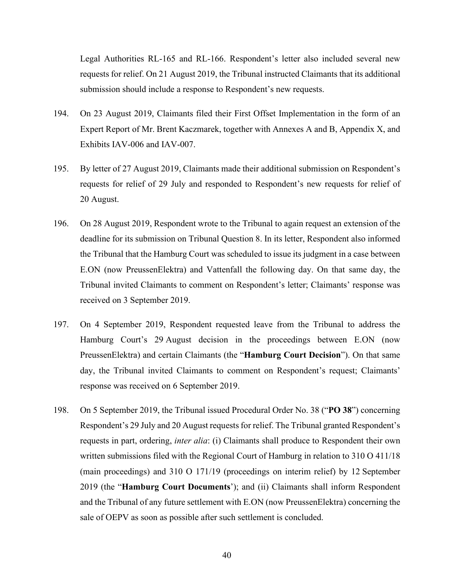Legal Authorities RL-165 and RL-166. Respondent's letter also included several new requests for relief. On 21 August 2019, the Tribunal instructed Claimants that its additional submission should include a response to Respondent's new requests.

- 194. On 23 August 2019, Claimants filed their First Offset Implementation in the form of an Expert Report of Mr. Brent Kaczmarek, together with Annexes A and B, Appendix X, and Exhibits IAV-006 and IAV-007.
- 195. By letter of 27 August 2019, Claimants made their additional submission on Respondent's requests for relief of 29 July and responded to Respondent's new requests for relief of 20 August.
- 196. On 28 August 2019, Respondent wrote to the Tribunal to again request an extension of the deadline for its submission on Tribunal Question 8. In its letter, Respondent also informed the Tribunal that the Hamburg Court was scheduled to issue its judgment in a case between E.ON (now PreussenElektra) and Vattenfall the following day. On that same day, the Tribunal invited Claimants to comment on Respondent's letter; Claimants' response was received on 3 September 2019.
- 197. On 4 September 2019, Respondent requested leave from the Tribunal to address the Hamburg Court's 29 August decision in the proceedings between E.ON (now PreussenElektra) and certain Claimants (the "**Hamburg Court Decision**"). On that same day, the Tribunal invited Claimants to comment on Respondent's request; Claimants' response was received on 6 September 2019.
- 198. On 5 September 2019, the Tribunal issued Procedural Order No. 38 ("**PO 38**") concerning Respondent's 29 July and 20 August requests for relief. The Tribunal granted Respondent's requests in part, ordering, *inter alia*: (i) Claimants shall produce to Respondent their own written submissions filed with the Regional Court of Hamburg in relation to 310 O 411/18 (main proceedings) and 310 O 171/19 (proceedings on interim relief) by 12 September 2019 (the "**Hamburg Court Documents**'); and (ii) Claimants shall inform Respondent and the Tribunal of any future settlement with E.ON (now PreussenElektra) concerning the sale of OEPV as soon as possible after such settlement is concluded.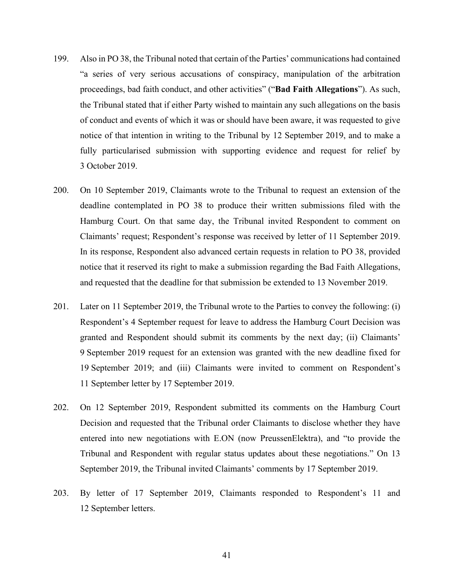- 199. Also in PO 38, the Tribunal noted that certain of the Parties' communications had contained "a series of very serious accusations of conspiracy, manipulation of the arbitration proceedings, bad faith conduct, and other activities" ("**Bad Faith Allegations**"). As such, the Tribunal stated that if either Party wished to maintain any such allegations on the basis of conduct and events of which it was or should have been aware, it was requested to give notice of that intention in writing to the Tribunal by 12 September 2019, and to make a fully particularised submission with supporting evidence and request for relief by 3 October 2019.
- 200. On 10 September 2019, Claimants wrote to the Tribunal to request an extension of the deadline contemplated in PO 38 to produce their written submissions filed with the Hamburg Court. On that same day, the Tribunal invited Respondent to comment on Claimants' request; Respondent's response was received by letter of 11 September 2019. In its response, Respondent also advanced certain requests in relation to PO 38, provided notice that it reserved its right to make a submission regarding the Bad Faith Allegations, and requested that the deadline for that submission be extended to 13 November 2019.
- 201. Later on 11 September 2019, the Tribunal wrote to the Parties to convey the following: (i) Respondent's 4 September request for leave to address the Hamburg Court Decision was granted and Respondent should submit its comments by the next day; (ii) Claimants' 9 September 2019 request for an extension was granted with the new deadline fixed for 19 September 2019; and (iii) Claimants were invited to comment on Respondent's 11 September letter by 17 September 2019.
- 202. On 12 September 2019, Respondent submitted its comments on the Hamburg Court Decision and requested that the Tribunal order Claimants to disclose whether they have entered into new negotiations with E.ON (now PreussenElektra), and "to provide the Tribunal and Respondent with regular status updates about these negotiations." On 13 September 2019, the Tribunal invited Claimants' comments by 17 September 2019.
- 203. By letter of 17 September 2019, Claimants responded to Respondent's 11 and 12 September letters.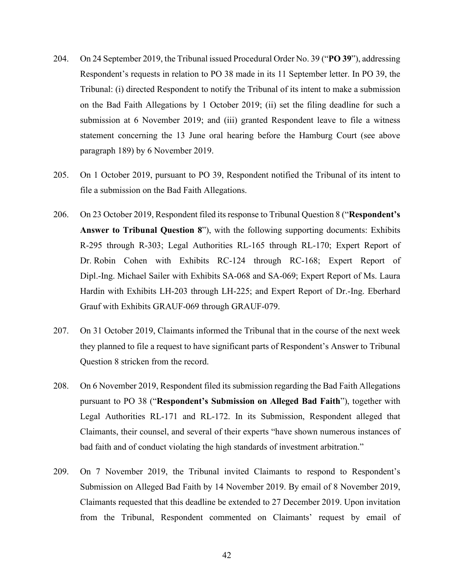- 204. On 24 September 2019, the Tribunal issued Procedural Order No. 39 ("**PO 39**"), addressing Respondent's requests in relation to PO 38 made in its 11 September letter. In PO 39, the Tribunal: (i) directed Respondent to notify the Tribunal of its intent to make a submission on the Bad Faith Allegations by 1 October 2019; (ii) set the filing deadline for such a submission at 6 November 2019; and (iii) granted Respondent leave to file a witness statement concerning the 13 June oral hearing before the Hamburg Court (see above paragraph [189\)](#page-41-0) by 6 November 2019.
- 205. On 1 October 2019, pursuant to PO 39, Respondent notified the Tribunal of its intent to file a submission on the Bad Faith Allegations.
- 206. On 23 October 2019, Respondent filed its response to Tribunal Question 8 ("**Respondent's Answer to Tribunal Question 8**"), with the following supporting documents: Exhibits R-295 through R-303; Legal Authorities RL-165 through RL-170; Expert Report of Dr. Robin Cohen with Exhibits RC-124 through RC-168; Expert Report of Dipl.-Ing. Michael Sailer with Exhibits SA-068 and SA-069; Expert Report of Ms. Laura Hardin with Exhibits LH-203 through LH-225; and Expert Report of Dr.-Ing. Eberhard Grauf with Exhibits GRAUF-069 through GRAUF-079.
- 207. On 31 October 2019, Claimants informed the Tribunal that in the course of the next week they planned to file a request to have significant parts of Respondent's Answer to Tribunal Question 8 stricken from the record.
- 208. On 6 November 2019, Respondent filed its submission regarding the Bad Faith Allegations pursuant to PO 38 ("**Respondent's Submission on Alleged Bad Faith**"), together with Legal Authorities RL-171 and RL-172. In its Submission, Respondent alleged that Claimants, their counsel, and several of their experts "have shown numerous instances of bad faith and of conduct violating the high standards of investment arbitration."
- 209. On 7 November 2019, the Tribunal invited Claimants to respond to Respondent's Submission on Alleged Bad Faith by 14 November 2019. By email of 8 November 2019, Claimants requested that this deadline be extended to 27 December 2019. Upon invitation from the Tribunal, Respondent commented on Claimants' request by email of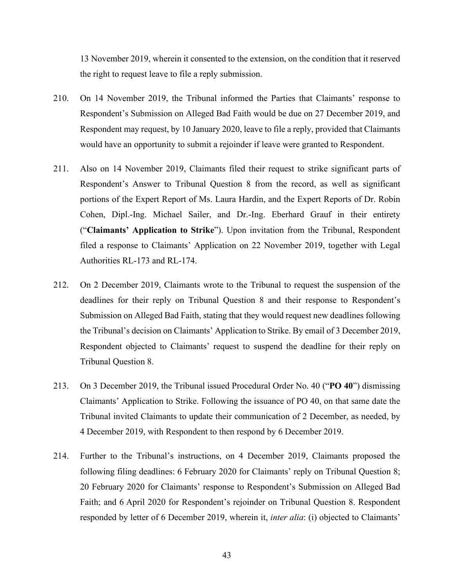13 November 2019, wherein it consented to the extension, on the condition that it reserved the right to request leave to file a reply submission.

- 210. On 14 November 2019, the Tribunal informed the Parties that Claimants' response to Respondent's Submission on Alleged Bad Faith would be due on 27 December 2019, and Respondent may request, by 10 January 2020, leave to file a reply, provided that Claimants would have an opportunity to submit a rejoinder if leave were granted to Respondent.
- 211. Also on 14 November 2019, Claimants filed their request to strike significant parts of Respondent's Answer to Tribunal Question 8 from the record, as well as significant portions of the Expert Report of Ms. Laura Hardin, and the Expert Reports of Dr. Robin Cohen, Dipl.-Ing. Michael Sailer, and Dr.-Ing. Eberhard Grauf in their entirety ("**Claimants' Application to Strike**"). Upon invitation from the Tribunal, Respondent filed a response to Claimants' Application on 22 November 2019, together with Legal Authorities RL-173 and RL-174.
- 212. On 2 December 2019, Claimants wrote to the Tribunal to request the suspension of the deadlines for their reply on Tribunal Question 8 and their response to Respondent's Submission on Alleged Bad Faith, stating that they would request new deadlines following the Tribunal's decision on Claimants' Application to Strike. By email of 3 December 2019, Respondent objected to Claimants' request to suspend the deadline for their reply on Tribunal Question 8.
- 213. On 3 December 2019, the Tribunal issued Procedural Order No. 40 ("**PO 40**") dismissing Claimants' Application to Strike. Following the issuance of PO 40, on that same date the Tribunal invited Claimants to update their communication of 2 December, as needed, by 4 December 2019, with Respondent to then respond by 6 December 2019.
- 214. Further to the Tribunal's instructions, on 4 December 2019, Claimants proposed the following filing deadlines: 6 February 2020 for Claimants' reply on Tribunal Question 8; 20 February 2020 for Claimants' response to Respondent's Submission on Alleged Bad Faith; and 6 April 2020 for Respondent's rejoinder on Tribunal Question 8. Respondent responded by letter of 6 December 2019, wherein it, *inter alia*: (i) objected to Claimants'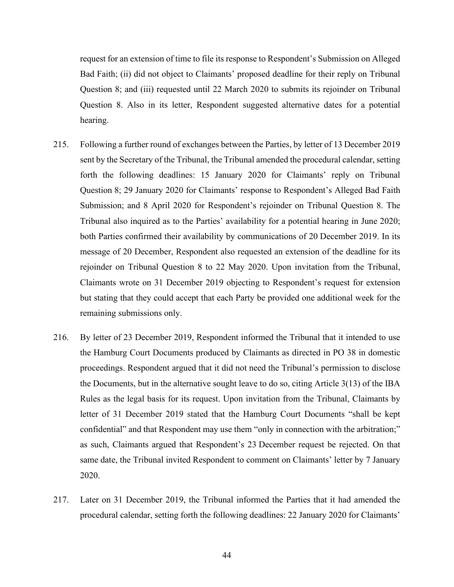request for an extension of time to file its response to Respondent's Submission on Alleged Bad Faith; (ii) did not object to Claimants' proposed deadline for their reply on Tribunal Question 8; and (iii) requested until 22 March 2020 to submits its rejoinder on Tribunal Question 8. Also in its letter, Respondent suggested alternative dates for a potential hearing.

- 215. Following a further round of exchanges between the Parties, by letter of 13 December 2019 sent by the Secretary of the Tribunal, the Tribunal amended the procedural calendar, setting forth the following deadlines: 15 January 2020 for Claimants' reply on Tribunal Question 8; 29 January 2020 for Claimants' response to Respondent's Alleged Bad Faith Submission; and 8 April 2020 for Respondent's rejoinder on Tribunal Question 8. The Tribunal also inquired as to the Parties' availability for a potential hearing in June 2020; both Parties confirmed their availability by communications of 20 December 2019. In its message of 20 December, Respondent also requested an extension of the deadline for its rejoinder on Tribunal Question 8 to 22 May 2020. Upon invitation from the Tribunal, Claimants wrote on 31 December 2019 objecting to Respondent's request for extension but stating that they could accept that each Party be provided one additional week for the remaining submissions only.
- 216. By letter of 23 December 2019, Respondent informed the Tribunal that it intended to use the Hamburg Court Documents produced by Claimants as directed in PO 38 in domestic proceedings. Respondent argued that it did not need the Tribunal's permission to disclose the Documents, but in the alternative sought leave to do so, citing Article 3(13) of the IBA Rules as the legal basis for its request. Upon invitation from the Tribunal, Claimants by letter of 31 December 2019 stated that the Hamburg Court Documents "shall be kept confidential" and that Respondent may use them "only in connection with the arbitration;" as such, Claimants argued that Respondent's 23 December request be rejected. On that same date, the Tribunal invited Respondent to comment on Claimants' letter by 7 January 2020.
- 217. Later on 31 December 2019, the Tribunal informed the Parties that it had amended the procedural calendar, setting forth the following deadlines: 22 January 2020 for Claimants'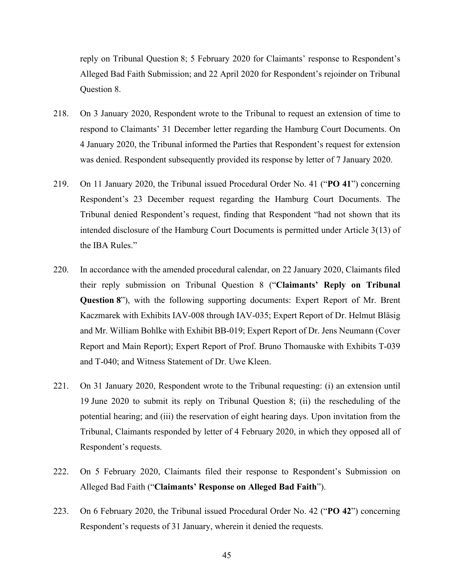reply on Tribunal Question 8; 5 February 2020 for Claimants' response to Respondent's Alleged Bad Faith Submission; and 22 April 2020 for Respondent's rejoinder on Tribunal Question 8.

- 218. On 3 January 2020, Respondent wrote to the Tribunal to request an extension of time to respond to Claimants' 31 December letter regarding the Hamburg Court Documents. On 4 January 2020, the Tribunal informed the Parties that Respondent's request for extension was denied. Respondent subsequently provided its response by letter of 7 January 2020.
- 219. On 11 January 2020, the Tribunal issued Procedural Order No. 41 ("**PO 41**") concerning Respondent's 23 December request regarding the Hamburg Court Documents. The Tribunal denied Respondent's request, finding that Respondent "had not shown that its intended disclosure of the Hamburg Court Documents is permitted under Article 3(13) of the IBA Rules."
- 220. In accordance with the amended procedural calendar, on 22 January 2020, Claimants filed their reply submission on Tribunal Question 8 ("**Claimants' Reply on Tribunal Question 8**"), with the following supporting documents: Expert Report of Mr. Brent Kaczmarek with Exhibits IAV-008 through IAV-035; Expert Report of Dr. Helmut Bläsig and Mr. William Bohlke with Exhibit BB-019; Expert Report of Dr. Jens Neumann (Cover Report and Main Report); Expert Report of Prof. Bruno Thomauske with Exhibits T-039 and T-040; and Witness Statement of Dr. Uwe Kleen.
- 221. On 31 January 2020, Respondent wrote to the Tribunal requesting: (i) an extension until 19 June 2020 to submit its reply on Tribunal Question 8; (ii) the rescheduling of the potential hearing; and (iii) the reservation of eight hearing days. Upon invitation from the Tribunal, Claimants responded by letter of 4 February 2020, in which they opposed all of Respondent's requests.
- 222. On 5 February 2020, Claimants filed their response to Respondent's Submission on Alleged Bad Faith ("**Claimants' Response on Alleged Bad Faith**").
- 223. On 6 February 2020, the Tribunal issued Procedural Order No. 42 ("**PO 42**") concerning Respondent's requests of 31 January, wherein it denied the requests.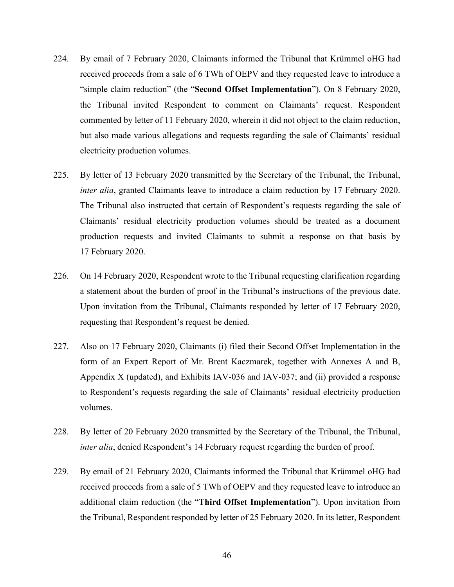- 224. By email of 7 February 2020, Claimants informed the Tribunal that Krümmel oHG had received proceeds from a sale of 6 TWh of OEPV and they requested leave to introduce a "simple claim reduction" (the "**Second Offset Implementation**"). On 8 February 2020, the Tribunal invited Respondent to comment on Claimants' request. Respondent commented by letter of 11 February 2020, wherein it did not object to the claim reduction, but also made various allegations and requests regarding the sale of Claimants' residual electricity production volumes.
- 225. By letter of 13 February 2020 transmitted by the Secretary of the Tribunal, the Tribunal, *inter alia*, granted Claimants leave to introduce a claim reduction by 17 February 2020. The Tribunal also instructed that certain of Respondent's requests regarding the sale of Claimants' residual electricity production volumes should be treated as a document production requests and invited Claimants to submit a response on that basis by 17 February 2020.
- 226. On 14 February 2020, Respondent wrote to the Tribunal requesting clarification regarding a statement about the burden of proof in the Tribunal's instructions of the previous date. Upon invitation from the Tribunal, Claimants responded by letter of 17 February 2020, requesting that Respondent's request be denied.
- 227. Also on 17 February 2020, Claimants (i) filed their Second Offset Implementation in the form of an Expert Report of Mr. Brent Kaczmarek, together with Annexes A and B, Appendix X (updated), and Exhibits IAV-036 and IAV-037; and (ii) provided a response to Respondent's requests regarding the sale of Claimants' residual electricity production volumes.
- 228. By letter of 20 February 2020 transmitted by the Secretary of the Tribunal, the Tribunal, *inter alia*, denied Respondent's 14 February request regarding the burden of proof.
- 229. By email of 21 February 2020, Claimants informed the Tribunal that Krümmel oHG had received proceeds from a sale of 5 TWh of OEPV and they requested leave to introduce an additional claim reduction (the "**Third Offset Implementation**"). Upon invitation from the Tribunal, Respondent responded by letter of 25 February 2020. In its letter, Respondent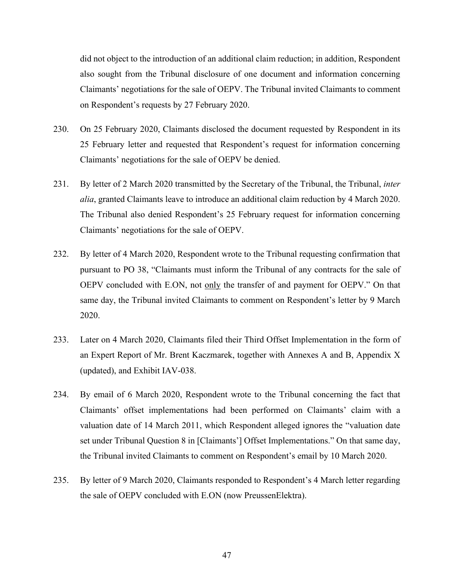did not object to the introduction of an additional claim reduction; in addition, Respondent also sought from the Tribunal disclosure of one document and information concerning Claimants' negotiations for the sale of OEPV. The Tribunal invited Claimants to comment on Respondent's requests by 27 February 2020.

- 230. On 25 February 2020, Claimants disclosed the document requested by Respondent in its 25 February letter and requested that Respondent's request for information concerning Claimants' negotiations for the sale of OEPV be denied.
- 231. By letter of 2 March 2020 transmitted by the Secretary of the Tribunal, the Tribunal, *inter alia*, granted Claimants leave to introduce an additional claim reduction by 4 March 2020. The Tribunal also denied Respondent's 25 February request for information concerning Claimants' negotiations for the sale of OEPV.
- 232. By letter of 4 March 2020, Respondent wrote to the Tribunal requesting confirmation that pursuant to PO 38, "Claimants must inform the Tribunal of any contracts for the sale of OEPV concluded with E.ON, not only the transfer of and payment for OEPV." On that same day, the Tribunal invited Claimants to comment on Respondent's letter by 9 March 2020.
- 233. Later on 4 March 2020, Claimants filed their Third Offset Implementation in the form of an Expert Report of Mr. Brent Kaczmarek, together with Annexes A and B, Appendix X (updated), and Exhibit IAV-038.
- 234. By email of 6 March 2020, Respondent wrote to the Tribunal concerning the fact that Claimants' offset implementations had been performed on Claimants' claim with a valuation date of 14 March 2011, which Respondent alleged ignores the "valuation date set under Tribunal Question 8 in [Claimants'] Offset Implementations." On that same day, the Tribunal invited Claimants to comment on Respondent's email by 10 March 2020.
- 235. By letter of 9 March 2020, Claimants responded to Respondent's 4 March letter regarding the sale of OEPV concluded with E.ON (now PreussenElektra).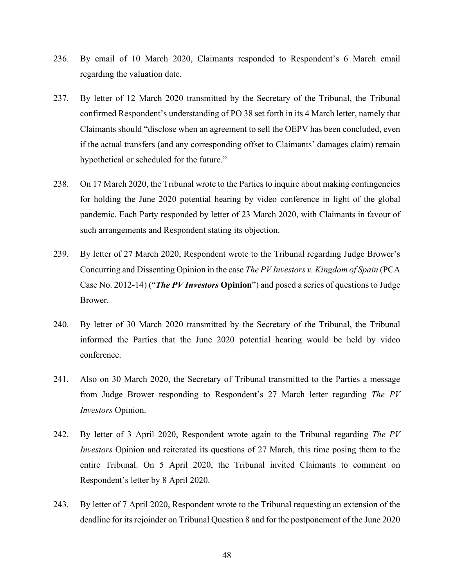- 236. By email of 10 March 2020, Claimants responded to Respondent's 6 March email regarding the valuation date.
- 237. By letter of 12 March 2020 transmitted by the Secretary of the Tribunal, the Tribunal confirmed Respondent's understanding of PO 38 set forth in its 4 March letter, namely that Claimants should "disclose when an agreement to sell the OEPV has been concluded, even if the actual transfers (and any corresponding offset to Claimants' damages claim) remain hypothetical or scheduled for the future."
- 238. On 17 March 2020, the Tribunal wrote to the Parties to inquire about making contingencies for holding the June 2020 potential hearing by video conference in light of the global pandemic. Each Party responded by letter of 23 March 2020, with Claimants in favour of such arrangements and Respondent stating its objection.
- 239. By letter of 27 March 2020, Respondent wrote to the Tribunal regarding Judge Brower's Concurring and Dissenting Opinion in the case *The PV Investors v. Kingdom of Spain* (PCA Case No. 2012-14) ("*The PV Investors* **Opinion**") and posed a series of questions to Judge Brower.
- 240. By letter of 30 March 2020 transmitted by the Secretary of the Tribunal, the Tribunal informed the Parties that the June 2020 potential hearing would be held by video conference.
- 241. Also on 30 March 2020, the Secretary of Tribunal transmitted to the Parties a message from Judge Brower responding to Respondent's 27 March letter regarding *The PV Investors* Opinion.
- 242. By letter of 3 April 2020, Respondent wrote again to the Tribunal regarding *The PV Investors* Opinion and reiterated its questions of 27 March, this time posing them to the entire Tribunal. On 5 April 2020, the Tribunal invited Claimants to comment on Respondent's letter by 8 April 2020.
- 243. By letter of 7 April 2020, Respondent wrote to the Tribunal requesting an extension of the deadline for its rejoinder on Tribunal Question 8 and for the postponement of the June 2020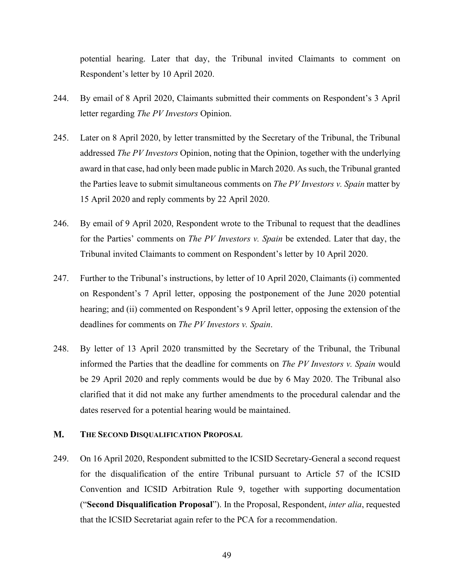potential hearing. Later that day, the Tribunal invited Claimants to comment on Respondent's letter by 10 April 2020.

- 244. By email of 8 April 2020, Claimants submitted their comments on Respondent's 3 April letter regarding *The PV Investors* Opinion.
- 245. Later on 8 April 2020, by letter transmitted by the Secretary of the Tribunal, the Tribunal addressed *The PV Investors* Opinion, noting that the Opinion, together with the underlying award in that case, had only been made public in March 2020. As such, the Tribunal granted the Parties leave to submit simultaneous comments on *The PV Investors v. Spain* matter by 15 April 2020 and reply comments by 22 April 2020.
- 246. By email of 9 April 2020, Respondent wrote to the Tribunal to request that the deadlines for the Parties' comments on *The PV Investors v. Spain* be extended. Later that day, the Tribunal invited Claimants to comment on Respondent's letter by 10 April 2020.
- 247. Further to the Tribunal's instructions, by letter of 10 April 2020, Claimants (i) commented on Respondent's 7 April letter, opposing the postponement of the June 2020 potential hearing; and (ii) commented on Respondent's 9 April letter, opposing the extension of the deadlines for comments on *The PV Investors v. Spain*.
- 248. By letter of 13 April 2020 transmitted by the Secretary of the Tribunal, the Tribunal informed the Parties that the deadline for comments on *The PV Investors v. Spain* would be 29 April 2020 and reply comments would be due by 6 May 2020. The Tribunal also clarified that it did not make any further amendments to the procedural calendar and the dates reserved for a potential hearing would be maintained.

#### <span id="page-51-0"></span>**M. THE SECOND DISQUALIFICATION PROPOSAL**

249. On 16 April 2020, Respondent submitted to the ICSID Secretary-General a second request for the disqualification of the entire Tribunal pursuant to Article 57 of the ICSID Convention and ICSID Arbitration Rule 9, together with supporting documentation ("**Second Disqualification Proposal**"). In the Proposal, Respondent, *inter alia*, requested that the ICSID Secretariat again refer to the PCA for a recommendation.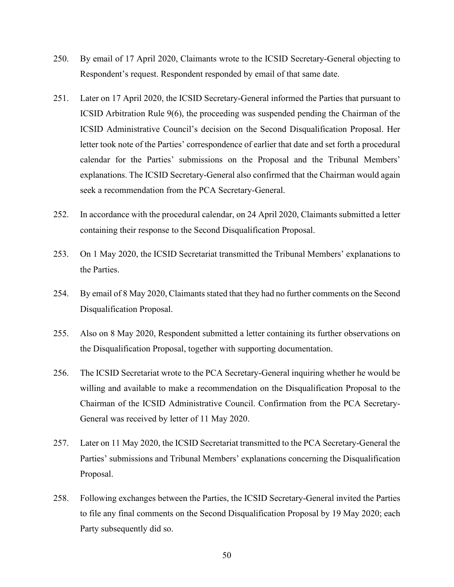- 250. By email of 17 April 2020, Claimants wrote to the ICSID Secretary-General objecting to Respondent's request. Respondent responded by email of that same date.
- 251. Later on 17 April 2020, the ICSID Secretary-General informed the Parties that pursuant to ICSID Arbitration Rule 9(6), the proceeding was suspended pending the Chairman of the ICSID Administrative Council's decision on the Second Disqualification Proposal. Her letter took note of the Parties' correspondence of earlier that date and set forth a procedural calendar for the Parties' submissions on the Proposal and the Tribunal Members' explanations. The ICSID Secretary-General also confirmed that the Chairman would again seek a recommendation from the PCA Secretary-General.
- 252. In accordance with the procedural calendar, on 24 April 2020, Claimants submitted a letter containing their response to the Second Disqualification Proposal.
- 253. On 1 May 2020, the ICSID Secretariat transmitted the Tribunal Members' explanations to the Parties.
- 254. By email of 8 May 2020, Claimants stated that they had no further comments on the Second Disqualification Proposal.
- 255. Also on 8 May 2020, Respondent submitted a letter containing its further observations on the Disqualification Proposal, together with supporting documentation.
- 256. The ICSID Secretariat wrote to the PCA Secretary-General inquiring whether he would be willing and available to make a recommendation on the Disqualification Proposal to the Chairman of the ICSID Administrative Council. Confirmation from the PCA Secretary-General was received by letter of 11 May 2020.
- 257. Later on 11 May 2020, the ICSID Secretariat transmitted to the PCA Secretary-General the Parties' submissions and Tribunal Members' explanations concerning the Disqualification Proposal.
- 258. Following exchanges between the Parties, the ICSID Secretary-General invited the Parties to file any final comments on the Second Disqualification Proposal by 19 May 2020; each Party subsequently did so.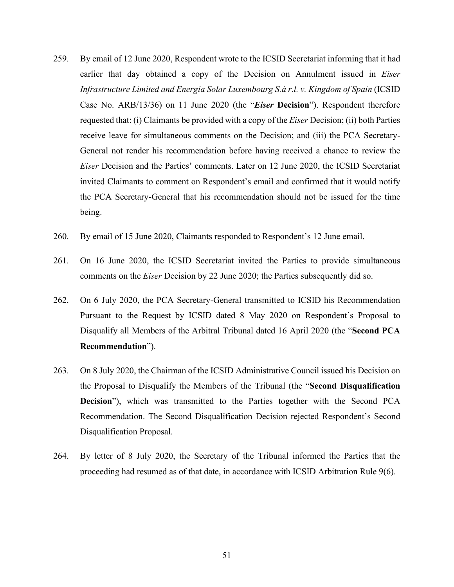- 259. By email of 12 June 2020, Respondent wrote to the ICSID Secretariat informing that it had earlier that day obtained a copy of the Decision on Annulment issued in *Eiser Infrastructure Limited and Energía Solar Luxembourg S.à r.l. v. Kingdom of Spain* (ICSID Case No. ARB/13/36) on 11 June 2020 (the "*Eiser* **Decision**"). Respondent therefore requested that: (i) Claimants be provided with a copy of the *Eiser* Decision; (ii) both Parties receive leave for simultaneous comments on the Decision; and (iii) the PCA Secretary-General not render his recommendation before having received a chance to review the *Eiser* Decision and the Parties' comments. Later on 12 June 2020, the ICSID Secretariat invited Claimants to comment on Respondent's email and confirmed that it would notify the PCA Secretary-General that his recommendation should not be issued for the time being.
- 260. By email of 15 June 2020, Claimants responded to Respondent's 12 June email.
- 261. On 16 June 2020, the ICSID Secretariat invited the Parties to provide simultaneous comments on the *Eiser* Decision by 22 June 2020; the Parties subsequently did so.
- 262. On 6 July 2020, the PCA Secretary-General transmitted to ICSID his Recommendation Pursuant to the Request by ICSID dated 8 May 2020 on Respondent's Proposal to Disqualify all Members of the Arbitral Tribunal dated 16 April 2020 (the "**Second PCA Recommendation**").
- 263. On 8 July 2020, the Chairman of the ICSID Administrative Council issued his Decision on the Proposal to Disqualify the Members of the Tribunal (the "**Second Disqualification Decision**"), which was transmitted to the Parties together with the Second PCA Recommendation. The Second Disqualification Decision rejected Respondent's Second Disqualification Proposal.
- 264. By letter of 8 July 2020, the Secretary of the Tribunal informed the Parties that the proceeding had resumed as of that date, in accordance with ICSID Arbitration Rule 9(6).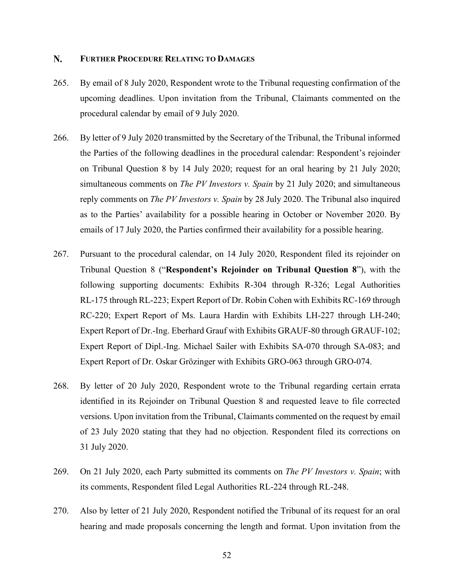#### <span id="page-54-0"></span>N. **FURTHER PROCEDURE RELATING TO DAMAGES**

- 265. By email of 8 July 2020, Respondent wrote to the Tribunal requesting confirmation of the upcoming deadlines. Upon invitation from the Tribunal, Claimants commented on the procedural calendar by email of 9 July 2020.
- 266. By letter of 9 July 2020 transmitted by the Secretary of the Tribunal, the Tribunal informed the Parties of the following deadlines in the procedural calendar: Respondent's rejoinder on Tribunal Question 8 by 14 July 2020; request for an oral hearing by 21 July 2020; simultaneous comments on *The PV Investors v. Spain* by 21 July 2020; and simultaneous reply comments on *The PV Investors v. Spain* by 28 July 2020. The Tribunal also inquired as to the Parties' availability for a possible hearing in October or November 2020. By emails of 17 July 2020, the Parties confirmed their availability for a possible hearing.
- 267. Pursuant to the procedural calendar, on 14 July 2020, Respondent filed its rejoinder on Tribunal Question 8 ("**Respondent's Rejoinder on Tribunal Question 8**"), with the following supporting documents: Exhibits R-304 through R-326; Legal Authorities RL-175 through RL-223; Expert Report of Dr. Robin Cohen with Exhibits RC-169 through RC-220; Expert Report of Ms. Laura Hardin with Exhibits LH-227 through LH-240; Expert Report of Dr.-Ing. Eberhard Grauf with Exhibits GRAUF-80 through GRAUF-102; Expert Report of Dipl.-Ing. Michael Sailer with Exhibits SA-070 through SA-083; and Expert Report of Dr. Oskar Grözinger with Exhibits GRO-063 through GRO-074.
- 268. By letter of 20 July 2020, Respondent wrote to the Tribunal regarding certain errata identified in its Rejoinder on Tribunal Question 8 and requested leave to file corrected versions. Upon invitation from the Tribunal, Claimants commented on the request by email of 23 July 2020 stating that they had no objection. Respondent filed its corrections on 31 July 2020.
- 269. On 21 July 2020, each Party submitted its comments on *The PV Investors v. Spain*; with its comments, Respondent filed Legal Authorities RL-224 through RL-248.
- 270. Also by letter of 21 July 2020, Respondent notified the Tribunal of its request for an oral hearing and made proposals concerning the length and format. Upon invitation from the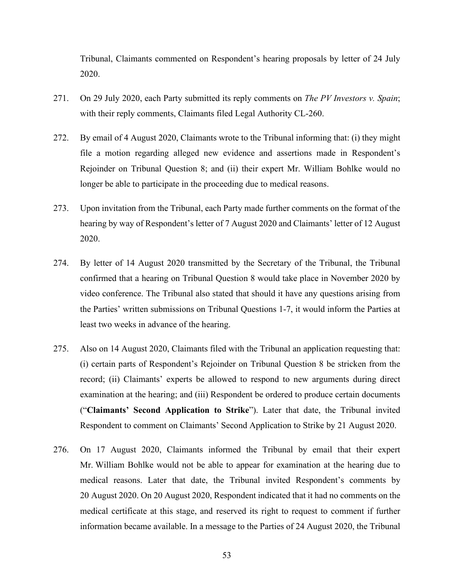Tribunal, Claimants commented on Respondent's hearing proposals by letter of 24 July 2020.

- 271. On 29 July 2020, each Party submitted its reply comments on *The PV Investors v. Spain*; with their reply comments, Claimants filed Legal Authority CL-260.
- 272. By email of 4 August 2020, Claimants wrote to the Tribunal informing that: (i) they might file a motion regarding alleged new evidence and assertions made in Respondent's Rejoinder on Tribunal Question 8; and (ii) their expert Mr. William Bohlke would no longer be able to participate in the proceeding due to medical reasons.
- 273. Upon invitation from the Tribunal, each Party made further comments on the format of the hearing by way of Respondent's letter of 7 August 2020 and Claimants' letter of 12 August 2020.
- 274. By letter of 14 August 2020 transmitted by the Secretary of the Tribunal, the Tribunal confirmed that a hearing on Tribunal Question 8 would take place in November 2020 by video conference. The Tribunal also stated that should it have any questions arising from the Parties' written submissions on Tribunal Questions 1-7, it would inform the Parties at least two weeks in advance of the hearing.
- 275. Also on 14 August 2020, Claimants filed with the Tribunal an application requesting that: (i) certain parts of Respondent's Rejoinder on Tribunal Question 8 be stricken from the record; (ii) Claimants' experts be allowed to respond to new arguments during direct examination at the hearing; and (iii) Respondent be ordered to produce certain documents ("**Claimants' Second Application to Strike**"). Later that date, the Tribunal invited Respondent to comment on Claimants' Second Application to Strike by 21 August 2020.
- 276. On 17 August 2020, Claimants informed the Tribunal by email that their expert Mr. William Bohlke would not be able to appear for examination at the hearing due to medical reasons. Later that date, the Tribunal invited Respondent's comments by 20 August 2020. On 20 August 2020, Respondent indicated that it had no comments on the medical certificate at this stage, and reserved its right to request to comment if further information became available. In a message to the Parties of 24 August 2020, the Tribunal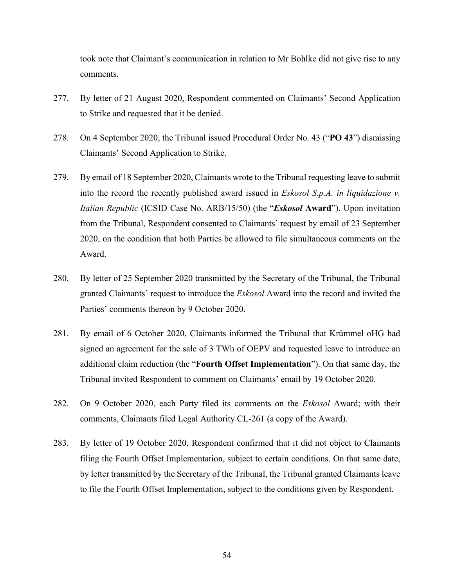took note that Claimant's communication in relation to Mr Bohlke did not give rise to any comments.

- 277. By letter of 21 August 2020, Respondent commented on Claimants' Second Application to Strike and requested that it be denied.
- 278. On 4 September 2020, the Tribunal issued Procedural Order No. 43 ("**PO 43**") dismissing Claimants' Second Application to Strike.
- 279. By email of 18 September 2020, Claimants wrote to the Tribunal requesting leave to submit into the record the recently published award issued in *Eskosol S.p.A. in liquidazione v. Italian Republic* (ICSID Case No. ARB/15/50) (the "*Eskosol* **Award**"). Upon invitation from the Tribunal, Respondent consented to Claimants' request by email of 23 September 2020, on the condition that both Parties be allowed to file simultaneous comments on the Award.
- 280. By letter of 25 September 2020 transmitted by the Secretary of the Tribunal, the Tribunal granted Claimants' request to introduce the *Eskosol* Award into the record and invited the Parties' comments thereon by 9 October 2020.
- 281. By email of 6 October 2020, Claimants informed the Tribunal that Krümmel oHG had signed an agreement for the sale of 3 TWh of OEPV and requested leave to introduce an additional claim reduction (the "**Fourth Offset Implementation**"). On that same day, the Tribunal invited Respondent to comment on Claimants' email by 19 October 2020.
- 282. On 9 October 2020, each Party filed its comments on the *Eskosol* Award; with their comments, Claimants filed Legal Authority CL-261 (a copy of the Award).
- 283. By letter of 19 October 2020, Respondent confirmed that it did not object to Claimants filing the Fourth Offset Implementation, subject to certain conditions. On that same date, by letter transmitted by the Secretary of the Tribunal, the Tribunal granted Claimants leave to file the Fourth Offset Implementation, subject to the conditions given by Respondent.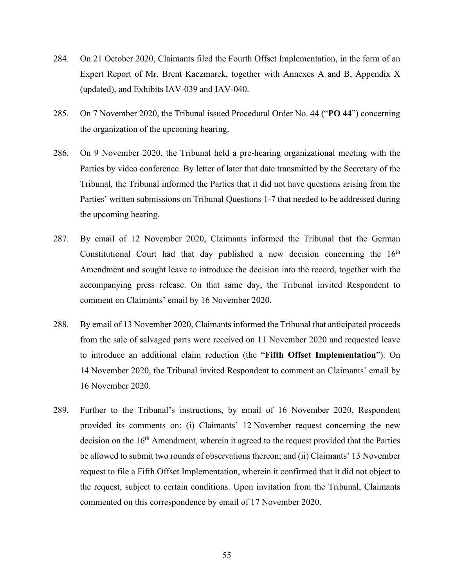- 284. On 21 October 2020, Claimants filed the Fourth Offset Implementation, in the form of an Expert Report of Mr. Brent Kaczmarek, together with Annexes A and B, Appendix X (updated), and Exhibits IAV-039 and IAV-040.
- 285. On 7 November 2020, the Tribunal issued Procedural Order No. 44 ("**PO 44**") concerning the organization of the upcoming hearing.
- 286. On 9 November 2020, the Tribunal held a pre-hearing organizational meeting with the Parties by video conference. By letter of later that date transmitted by the Secretary of the Tribunal, the Tribunal informed the Parties that it did not have questions arising from the Parties' written submissions on Tribunal Questions 1-7 that needed to be addressed during the upcoming hearing.
- 287. By email of 12 November 2020, Claimants informed the Tribunal that the German Constitutional Court had that day published a new decision concerning the  $16<sup>th</sup>$ Amendment and sought leave to introduce the decision into the record, together with the accompanying press release. On that same day, the Tribunal invited Respondent to comment on Claimants' email by 16 November 2020.
- 288. By email of 13 November 2020, Claimants informed the Tribunal that anticipated proceeds from the sale of salvaged parts were received on 11 November 2020 and requested leave to introduce an additional claim reduction (the "**Fifth Offset Implementation**"). On 14 November 2020, the Tribunal invited Respondent to comment on Claimants' email by 16 November 2020.
- 289. Further to the Tribunal's instructions, by email of 16 November 2020, Respondent provided its comments on: (i) Claimants' 12 November request concerning the new decision on the 16<sup>th</sup> Amendment, wherein it agreed to the request provided that the Parties be allowed to submit two rounds of observations thereon; and (ii) Claimants' 13 November request to file a Fifth Offset Implementation, wherein it confirmed that it did not object to the request, subject to certain conditions. Upon invitation from the Tribunal, Claimants commented on this correspondence by email of 17 November 2020.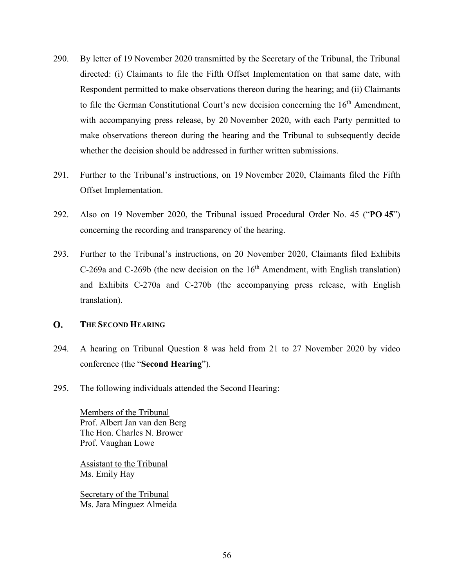- 290. By letter of 19 November 2020 transmitted by the Secretary of the Tribunal, the Tribunal directed: (i) Claimants to file the Fifth Offset Implementation on that same date, with Respondent permitted to make observations thereon during the hearing; and (ii) Claimants to file the German Constitutional Court's new decision concerning the  $16<sup>th</sup>$  Amendment, with accompanying press release, by 20 November 2020, with each Party permitted to make observations thereon during the hearing and the Tribunal to subsequently decide whether the decision should be addressed in further written submissions.
- 291. Further to the Tribunal's instructions, on 19 November 2020, Claimants filed the Fifth Offset Implementation.
- 292. Also on 19 November 2020, the Tribunal issued Procedural Order No. 45 ("**PO 45**") concerning the recording and transparency of the hearing.
- 293. Further to the Tribunal's instructions, on 20 November 2020, Claimants filed Exhibits  $C-269a$  and  $C-269b$  (the new decision on the  $16<sup>th</sup>$  Amendment, with English translation) and Exhibits C-270a and C-270b (the accompanying press release, with English translation).

#### <span id="page-58-0"></span>**O. THE SECOND HEARING**

- 294. A hearing on Tribunal Question 8 was held from 21 to 27 November 2020 by video conference (the "**Second Hearing**").
- 295. The following individuals attended the Second Hearing:

Members of the Tribunal Prof. Albert Jan van den Berg The Hon. Charles N. Brower Prof. Vaughan Lowe

Assistant to the Tribunal Ms. Emily Hay

Secretary of the Tribunal Ms. Jara Mínguez Almeida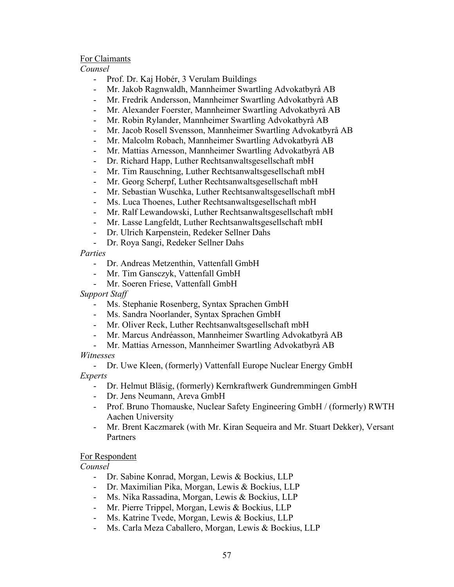### For Claimants

### *Counsel*

- Prof. Dr. Kaj Hobér, 3 Verulam Buildings
- Mr. Jakob Ragnwaldh, Mannheimer Swartling Advokatbyrå AB
- Mr. Fredrik Andersson, Mannheimer Swartling Advokatbyrå AB
- Mr. Alexander Foerster, Mannheimer Swartling Advokatbyrå AB
- Mr. Robin Rylander, Mannheimer Swartling Advokatbyrå AB
- Mr. Jacob Rosell Svensson, Mannheimer Swartling Advokatbyrå AB
- Mr. Malcolm Robach, Mannheimer Swartling Advokatbyrå AB
- Mr. Mattias Arnesson, Mannheimer Swartling Advokatbyrå AB
- Dr. Richard Happ, Luther Rechtsanwaltsgesellschaft mbH
- Mr. Tim Rauschning, Luther Rechtsanwaltsgesellschaft mbH
- Mr. Georg Scherpf, Luther Rechtsanwaltsgesellschaft mbH
- Mr. Sebastian Wuschka, Luther Rechtsanwaltsgesellschaft mbH
- Ms. Luca Thoenes, Luther Rechtsanwaltsgesellschaft mbH
- Mr. Ralf Lewandowski, Luther Rechtsanwaltsgesellschaft mbH
- Mr. Lasse Langfeldt, Luther Rechtsanwaltsgesellschaft mbH
- Dr. Ulrich Karpenstein, Redeker Sellner Dahs
- Dr. Roya Sangi, Redeker Sellner Dahs

### *Parties*

- Dr. Andreas Metzenthin, Vattenfall GmbH
- Mr. Tim Gansczyk, Vattenfall GmbH
- Mr. Soeren Friese, Vattenfall GmbH

*Support Staff*

- Ms. Stephanie Rosenberg, Syntax Sprachen GmbH
- Ms. Sandra Noorlander, Syntax Sprachen GmbH
- Mr. Oliver Reck, Luther Rechtsanwaltsgesellschaft mbH
- Mr. Marcus Andréasson, Mannheimer Swartling Advokatbyrå AB
- Mr. Mattias Arnesson, Mannheimer Swartling Advokatbyrå AB

# *Witnesses*

- Dr. Uwe Kleen, (formerly) Vattenfall Europe Nuclear Energy GmbH *Experts*

- Dr. Helmut Bläsig, (formerly) Kernkraftwerk Gundremmingen GmbH
- Dr. Jens Neumann, Areva GmbH
- Prof. Bruno Thomauske, Nuclear Safety Engineering GmbH / (formerly) RWTH Aachen University
- Mr. Brent Kaczmarek (with Mr. Kiran Sequeira and Mr. Stuart Dekker), Versant Partners

### For Respondent

*Counsel*

- Dr. Sabine Konrad, Morgan, Lewis & Bockius, LLP
- Dr. Maximilian Pika, Morgan, Lewis & Bockius, LLP
- Ms. Nika Rassadina, Morgan, Lewis & Bockius, LLP
- Mr. Pierre Trippel, Morgan, Lewis & Bockius, LLP
- Ms. Katrine Tvede, Morgan, Lewis & Bockius, LLP
- Ms. Carla Meza Caballero, Morgan, Lewis & Bockius, LLP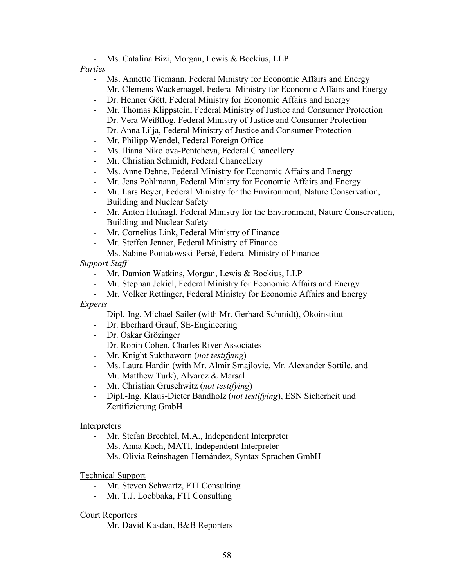- Ms. Catalina Bizi, Morgan, Lewis & Bockius, LLP

### *Parties*

- Ms. Annette Tiemann, Federal Ministry for Economic Affairs and Energy
- Mr. Clemens Wackernagel, Federal Ministry for Economic Affairs and Energy
- Dr. Henner Gött, Federal Ministry for Economic Affairs and Energy
- Mr. Thomas Klippstein, Federal Ministry of Justice and Consumer Protection
- Dr. Vera Weißflog, Federal Ministry of Justice and Consumer Protection
- Dr. Anna Lilja, Federal Ministry of Justice and Consumer Protection
- Mr. Philipp Wendel, Federal Foreign Office
- Ms. Iliana Nikolova-Pentcheva, Federal Chancellery
- Mr. Christian Schmidt, Federal Chancellery
- Ms. Anne Dehne, Federal Ministry for Economic Affairs and Energy
- Mr. Jens Pohlmann, Federal Ministry for Economic Affairs and Energy
- Mr. Lars Beyer, Federal Ministry for the Environment, Nature Conservation, Building and Nuclear Safety
- Mr. Anton Hufnagl, Federal Ministry for the Environment, Nature Conservation, Building and Nuclear Safety
- Mr. Cornelius Link, Federal Ministry of Finance
- Mr. Steffen Jenner, Federal Ministry of Finance
- Ms. Sabine Poniatowski-Persé, Federal Ministry of Finance

## *Support Staff*

- Mr. Damion Watkins, Morgan, Lewis & Bockius, LLP
- Mr. Stephan Jokiel, Federal Ministry for Economic Affairs and Energy
- Mr. Volker Rettinger, Federal Ministry for Economic Affairs and Energy *Experts*
	- Dipl.-Ing. Michael Sailer (with Mr. Gerhard Schmidt), Ökoinstitut
	- Dr. Eberhard Grauf, SE-Engineering
	- Dr. Oskar Grözinger
	- Dr. Robin Cohen, Charles River Associates
	- Mr. Knight Sukthaworn (*not testifying*)
	- Ms. Laura Hardin (with Mr. Almir Smajlovic, Mr. Alexander Sottile, and Mr. Matthew Turk), Alvarez & Marsal
	- Mr. Christian Gruschwitz (*not testifying*)
	- Dipl.-Ing. Klaus-Dieter Bandholz (*not testifying*), ESN Sicherheit und Zertifizierung GmbH

### Interpreters

- Mr. Stefan Brechtel, M.A., Independent Interpreter
- Ms. Anna Koch, MATI, Independent Interpreter
- Ms. Olivia Reinshagen-Hernández, Syntax Sprachen GmbH

### Technical Support

- Mr. Steven Schwartz, FTI Consulting
- Mr. T.J. Loebbaka, FTI Consulting

### Court Reporters

- Mr. David Kasdan, B&B Reporters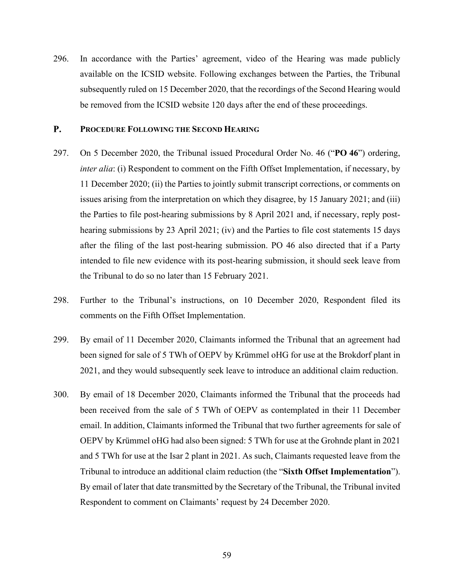296. In accordance with the Parties' agreement, video of the Hearing was made publicly available on the ICSID website. Following exchanges between the Parties, the Tribunal subsequently ruled on 15 December 2020, that the recordings of the Second Hearing would be removed from the ICSID website 120 days after the end of these proceedings.

#### <span id="page-61-0"></span>**P. PROCEDURE FOLLOWING THE SECOND HEARING**

- 297. On 5 December 2020, the Tribunal issued Procedural Order No. 46 ("**PO 46**") ordering, *inter alia*: (i) Respondent to comment on the Fifth Offset Implementation, if necessary, by 11 December 2020; (ii) the Parties to jointly submit transcript corrections, or comments on issues arising from the interpretation on which they disagree, by 15 January 2021; and (iii) the Parties to file post-hearing submissions by 8 April 2021 and, if necessary, reply posthearing submissions by 23 April 2021; (iv) and the Parties to file cost statements 15 days after the filing of the last post-hearing submission. PO 46 also directed that if a Party intended to file new evidence with its post-hearing submission, it should seek leave from the Tribunal to do so no later than 15 February 2021.
- 298. Further to the Tribunal's instructions, on 10 December 2020, Respondent filed its comments on the Fifth Offset Implementation.
- 299. By email of 11 December 2020, Claimants informed the Tribunal that an agreement had been signed for sale of 5 TWh of OEPV by Krümmel oHG for use at the Brokdorf plant in 2021, and they would subsequently seek leave to introduce an additional claim reduction.
- 300. By email of 18 December 2020, Claimants informed the Tribunal that the proceeds had been received from the sale of 5 TWh of OEPV as contemplated in their 11 December email. In addition, Claimants informed the Tribunal that two further agreements for sale of OEPV by Krümmel oHG had also been signed: 5 TWh for use at the Grohnde plant in 2021 and 5 TWh for use at the Isar 2 plant in 2021. As such, Claimants requested leave from the Tribunal to introduce an additional claim reduction (the "**Sixth Offset Implementation**"). By email of later that date transmitted by the Secretary of the Tribunal, the Tribunal invited Respondent to comment on Claimants' request by 24 December 2020.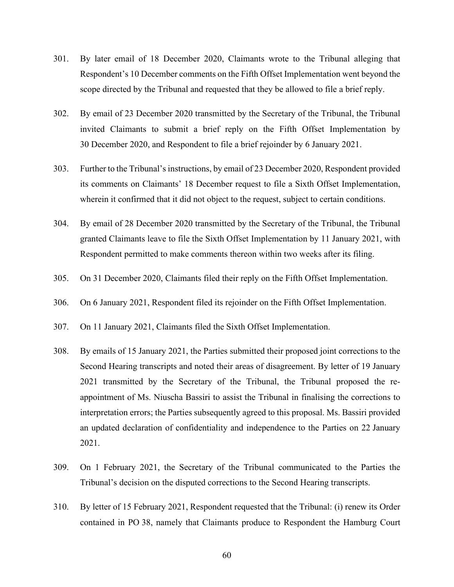- 301. By later email of 18 December 2020, Claimants wrote to the Tribunal alleging that Respondent's 10 December comments on the Fifth Offset Implementation went beyond the scope directed by the Tribunal and requested that they be allowed to file a brief reply.
- 302. By email of 23 December 2020 transmitted by the Secretary of the Tribunal, the Tribunal invited Claimants to submit a brief reply on the Fifth Offset Implementation by 30 December 2020, and Respondent to file a brief rejoinder by 6 January 2021.
- 303. Further to the Tribunal's instructions, by email of 23 December 2020, Respondent provided its comments on Claimants' 18 December request to file a Sixth Offset Implementation, wherein it confirmed that it did not object to the request, subject to certain conditions.
- 304. By email of 28 December 2020 transmitted by the Secretary of the Tribunal, the Tribunal granted Claimants leave to file the Sixth Offset Implementation by 11 January 2021, with Respondent permitted to make comments thereon within two weeks after its filing.
- 305. On 31 December 2020, Claimants filed their reply on the Fifth Offset Implementation.
- 306. On 6 January 2021, Respondent filed its rejoinder on the Fifth Offset Implementation.
- 307. On 11 January 2021, Claimants filed the Sixth Offset Implementation.
- 308. By emails of 15 January 2021, the Parties submitted their proposed joint corrections to the Second Hearing transcripts and noted their areas of disagreement. By letter of 19 January 2021 transmitted by the Secretary of the Tribunal, the Tribunal proposed the reappointment of Ms. Niuscha Bassiri to assist the Tribunal in finalising the corrections to interpretation errors; the Parties subsequently agreed to this proposal. Ms. Bassiri provided an updated declaration of confidentiality and independence to the Parties on 22 January 2021.
- 309. On 1 February 2021, the Secretary of the Tribunal communicated to the Parties the Tribunal's decision on the disputed corrections to the Second Hearing transcripts.
- 310. By letter of 15 February 2021, Respondent requested that the Tribunal: (i) renew its Order contained in PO 38, namely that Claimants produce to Respondent the Hamburg Court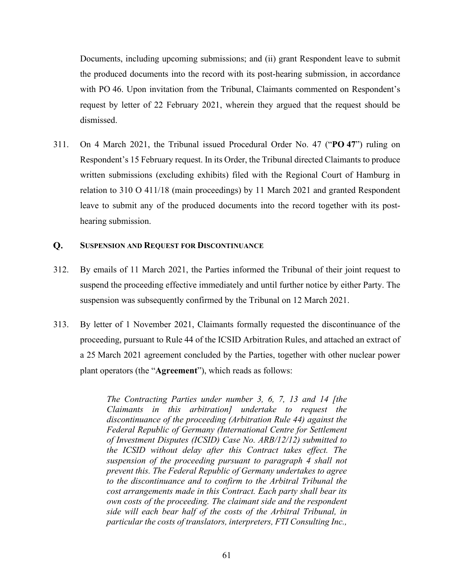Documents, including upcoming submissions; and (ii) grant Respondent leave to submit the produced documents into the record with its post-hearing submission, in accordance with PO 46. Upon invitation from the Tribunal, Claimants commented on Respondent's request by letter of 22 February 2021, wherein they argued that the request should be dismissed.

311. On 4 March 2021, the Tribunal issued Procedural Order No. 47 ("**PO 47**") ruling on Respondent's 15 February request. In its Order, the Tribunal directed Claimants to produce written submissions (excluding exhibits) filed with the Regional Court of Hamburg in relation to 310 O 411/18 (main proceedings) by 11 March 2021 and granted Respondent leave to submit any of the produced documents into the record together with its posthearing submission.

#### <span id="page-63-0"></span>**Q. SUSPENSION AND REQUEST FOR DISCONTINUANCE**

- 312. By emails of 11 March 2021, the Parties informed the Tribunal of their joint request to suspend the proceeding effective immediately and until further notice by either Party. The suspension was subsequently confirmed by the Tribunal on 12 March 2021.
- 313. By letter of 1 November 2021, Claimants formally requested the discontinuance of the proceeding, pursuant to Rule 44 of the ICSID Arbitration Rules, and attached an extract of a 25 March 2021 agreement concluded by the Parties, together with other nuclear power plant operators (the "**Agreement**"), which reads as follows:

*The Contracting Parties under number 3, 6, 7, 13 and 14 [the Claimants in this arbitration] undertake to request the discontinuance of the proceeding (Arbitration Rule 44) against the Federal Republic of Germany (International Centre for Settlement of Investment Disputes (ICSID) Case No. ARB/12/12) submitted to the ICSID without delay after this Contract takes effect. The suspension of the proceeding pursuant to paragraph 4 shall not prevent this. The Federal Republic of Germany undertakes to agree to the discontinuance and to confirm to the Arbitral Tribunal the cost arrangements made in this Contract. Each party shall bear its own costs of the proceeding. The claimant side and the respondent side will each bear half of the costs of the Arbitral Tribunal, in particular the costs of translators, interpreters, FTI Consulting Inc.,*